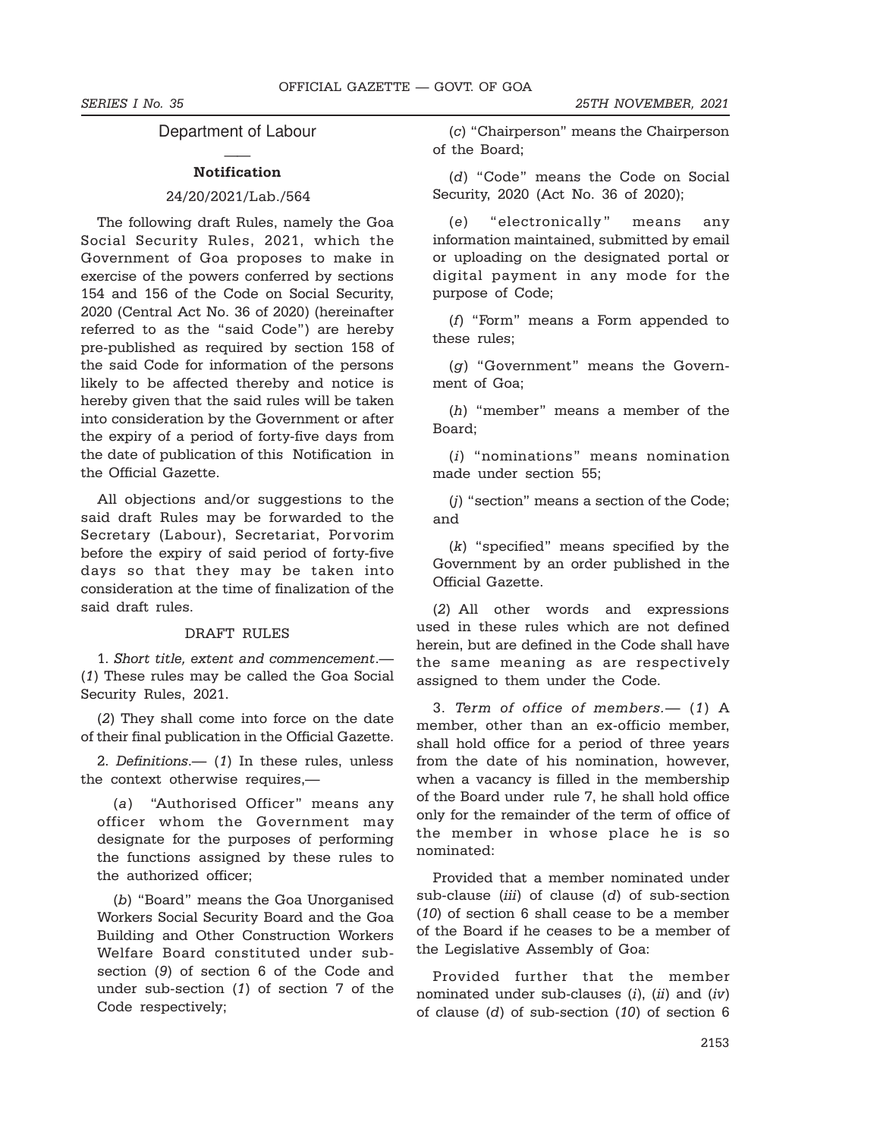#### Department of Labour

#### —— Notification

#### 24/20/2021/Lab./564

The following draft Rules, namely the Goa Social Security Rules, 2021, which the Government of Goa proposes to make in exercise of the powers conferred by sections 154 and 156 of the Code on Social Security, 2020 (Central Act No. 36 of 2020) (hereinafter referred to as the "said Code") are hereby pre-published as required by section 158 of the said Code for information of the persons likely to be affected thereby and notice is hereby given that the said rules will be taken into consideration by the Government or after the expiry of a period of forty-five days from the date of publication of this Notification in the Official Gazette.

All objections and/or suggestions to the said draft Rules may be forwarded to the Secretary (Labour), Secretariat, Porvorim before the expiry of said period of forty-five days so that they may be taken into consideration at the time of finalization of the said draft rules.

#### DRAFT RULES

1. Short title, extent and commencement.— (1) These rules may be called the Goa Social Security Rules, 2021.

(2) They shall come into force on the date of their final publication in the Official Gazette.

2. Definitions.— (1) In these rules, unless the context otherwise requires,—

(a) "Authorised Officer" means any officer whom the Government may designate for the purposes of performing the functions assigned by these rules to the authorized officer;

(b) "Board" means the Goa Unorganised Workers Social Security Board and the Goa Building and Other Construction Workers Welfare Board constituted under subsection (9) of section 6 of the Code and under sub-section (1) of section 7 of the Code respectively;

(c) "Chairperson" means the Chairperson of the Board;

(d) "Code" means the Code on Social Security, 2020 (Act No. 36 of 2020);

(e) "electronically" means any information maintained, submitted by email or uploading on the designated portal or digital payment in any mode for the purpose of Code;

(f) "Form" means a Form appended to these rules;

(g) "Government" means the Government of Goa;

(h) "member" means a member of the Board;

(i) "nominations" means nomination made under section 55;

(j) "section" means a section of the Code; and

(k) "specified" means specified by the Government by an order published in the Official Gazette.

(2) All other words and expressions used in these rules which are not defined herein, but are defined in the Code shall have the same meaning as are respectively assigned to them under the Code.

3. Term of office of members.— (1) A member, other than an ex-officio member, shall hold office for a period of three years from the date of his nomination, however, when a vacancy is filled in the membership of the Board under rule 7, he shall hold office only for the remainder of the term of office of the member in whose place he is so nominated:

Provided that a member nominated under sub-clause (iii) of clause (d) of sub-section (10) of section 6 shall cease to be a member of the Board if he ceases to be a member of the Legislative Assembly of Goa:

Provided further that the member nominated under sub-clauses  $(i)$ ,  $(ii)$  and  $(iv)$ of clause (d) of sub-section (10) of section 6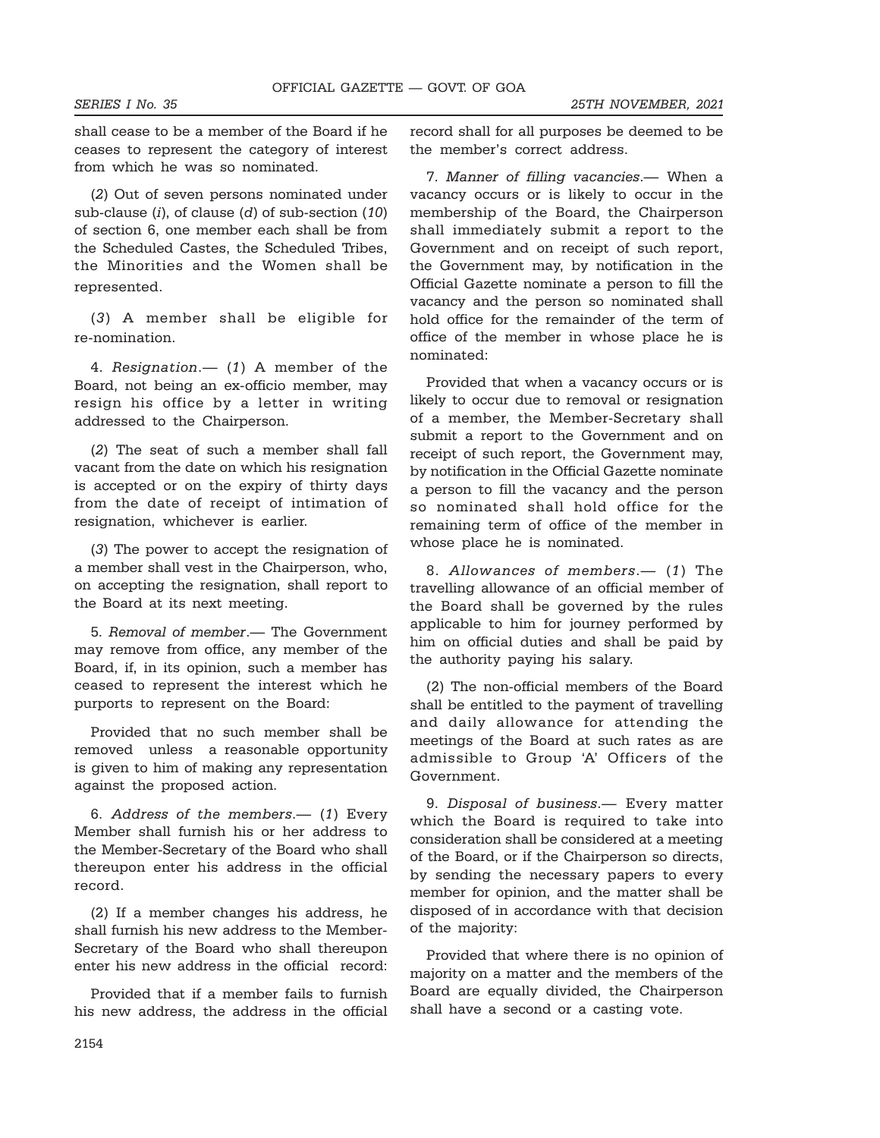SERIES I No. 35 25TH NOVEMBER, 2021

shall cease to be a member of the Board if he ceases to represent the category of interest from which he was so nominated.

(2) Out of seven persons nominated under sub-clause  $(i)$ , of clause  $(d)$  of sub-section  $(10)$ of section 6, one member each shall be from the Scheduled Castes, the Scheduled Tribes, the Minorities and the Women shall be represented.

(3) A member shall be eligible for re-nomination.

4. Resignation.— (1) A member of the Board, not being an ex-officio member, may resign his office by a letter in writing addressed to the Chairperson.

(2) The seat of such a member shall fall vacant from the date on which his resignation is accepted or on the expiry of thirty days from the date of receipt of intimation of resignation, whichever is earlier.

(3) The power to accept the resignation of a member shall vest in the Chairperson, who, on accepting the resignation, shall report to the Board at its next meeting.

5. Removal of member.— The Government may remove from office, any member of the Board, if, in its opinion, such a member has ceased to represent the interest which he purports to represent on the Board:

Provided that no such member shall be removed unless a reasonable opportunity is given to him of making any representation against the proposed action.

6. Address of the members.— (1) Every Member shall furnish his or her address to the Member-Secretary of the Board who shall thereupon enter his address in the official record.

(2) If a member changes his address, he shall furnish his new address to the Member-Secretary of the Board who shall thereupon enter his new address in the official record:

Provided that if a member fails to furnish his new address, the address in the official record shall for all purposes be deemed to be the member's correct address.

7. Manner of filling vacancies.— When a vacancy occurs or is likely to occur in the membership of the Board, the Chairperson shall immediately submit a report to the Government and on receipt of such report, the Government may, by notification in the Official Gazette nominate a person to fill the vacancy and the person so nominated shall hold office for the remainder of the term of office of the member in whose place he is nominated:

Provided that when a vacancy occurs or is likely to occur due to removal or resignation of a member, the Member-Secretary shall submit a report to the Government and on receipt of such report, the Government may, by notification in the Official Gazette nominate a person to fill the vacancy and the person so nominated shall hold office for the remaining term of office of the member in whose place he is nominated.

8. Allowances of members.— (1) The travelling allowance of an official member of the Board shall be governed by the rules applicable to him for journey performed by him on official duties and shall be paid by the authority paying his salary.

(2) The non-official members of the Board shall be entitled to the payment of travelling and daily allowance for attending the meetings of the Board at such rates as are admissible to Group 'A' Officers of the Government.

9. Disposal of business.— Every matter which the Board is required to take into consideration shall be considered at a meeting of the Board, or if the Chairperson so directs, by sending the necessary papers to every member for opinion, and the matter shall be disposed of in accordance with that decision of the majority:

Provided that where there is no opinion of majority on a matter and the members of the Board are equally divided, the Chairperson shall have a second or a casting vote.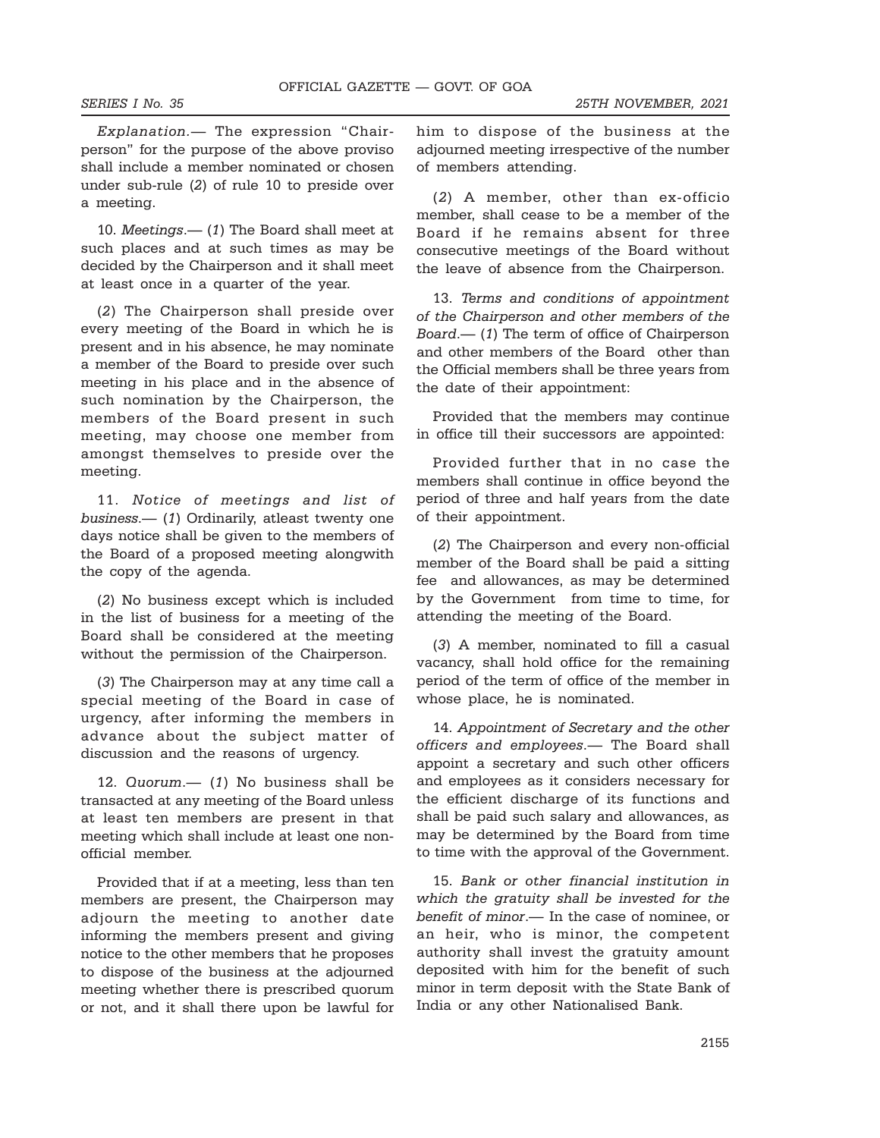Explanation.— The expression "Chairperson" for the purpose of the above proviso shall include a member nominated or chosen under sub-rule (2) of rule 10 to preside over a meeting.

10. Meetings.— (1) The Board shall meet at such places and at such times as may be decided by the Chairperson and it shall meet at least once in a quarter of the year.

(2) The Chairperson shall preside over every meeting of the Board in which he is present and in his absence, he may nominate a member of the Board to preside over such meeting in his place and in the absence of such nomination by the Chairperson, the members of the Board present in such meeting, may choose one member from amongst themselves to preside over the meeting.

11. Notice of meetings and list of business.— (1) Ordinarily, atleast twenty one days notice shall be given to the members of the Board of a proposed meeting alongwith the copy of the agenda.

(2) No business except which is included in the list of business for a meeting of the Board shall be considered at the meeting without the permission of the Chairperson.

(3) The Chairperson may at any time call a special meeting of the Board in case of urgency, after informing the members in advance about the subject matter of discussion and the reasons of urgency.

12. Quorum.— (1) No business shall be transacted at any meeting of the Board unless at least ten members are present in that meeting which shall include at least one nonofficial member.

Provided that if at a meeting, less than ten members are present, the Chairperson may adjourn the meeting to another date informing the members present and giving notice to the other members that he proposes to dispose of the business at the adjourned meeting whether there is prescribed quorum or not, and it shall there upon be lawful for him to dispose of the business at the adjourned meeting irrespective of the number of members attending.

(2) A member, other than ex-officio member, shall cease to be a member of the Board if he remains absent for three consecutive meetings of the Board without the leave of absence from the Chairperson.

13. Terms and conditions of appointment of the Chairperson and other members of the Board.— (1) The term of office of Chairperson and other members of the Board other than the Official members shall be three years from the date of their appointment:

Provided that the members may continue in office till their successors are appointed:

Provided further that in no case the members shall continue in office beyond the period of three and half years from the date of their appointment.

(2) The Chairperson and every non-official member of the Board shall be paid a sitting fee and allowances, as may be determined by the Government from time to time, for attending the meeting of the Board.

(3) A member, nominated to fill a casual vacancy, shall hold office for the remaining period of the term of office of the member in whose place, he is nominated.

14. Appointment of Secretary and the other officers and employees.— The Board shall appoint a secretary and such other officers and employees as it considers necessary for the efficient discharge of its functions and shall be paid such salary and allowances, as may be determined by the Board from time to time with the approval of the Government.

15. Bank or other financial institution in which the gratuity shall be invested for the benefit of minor.— In the case of nominee, or an heir, who is minor, the competent authority shall invest the gratuity amount deposited with him for the benefit of such minor in term deposit with the State Bank of India or any other Nationalised Bank.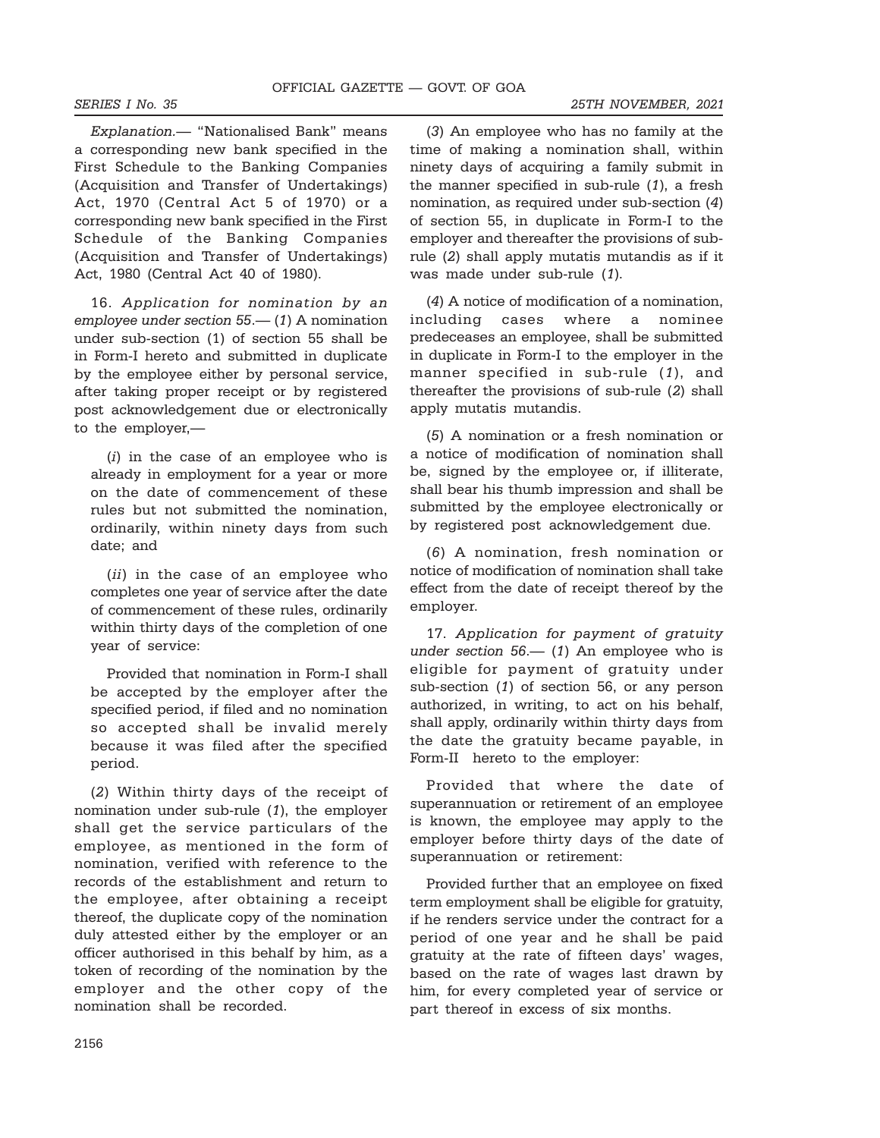### SERIES I No. 35 25TH NOVEMBER, 2021

Explanation.— "Nationalised Bank" means a corresponding new bank specified in the First Schedule to the Banking Companies (Acquisition and Transfer of Undertakings) Act, 1970 (Central Act 5 of 1970) or a corresponding new bank specified in the First Schedule of the Banking Companies (Acquisition and Transfer of Undertakings) Act, 1980 (Central Act 40 of 1980).

16. Application for nomination by an employee under section 55.— (1) A nomination under sub-section (1) of section 55 shall be in Form-I hereto and submitted in duplicate by the employee either by personal service, after taking proper receipt or by registered post acknowledgement due or electronically to the employer,—

(i) in the case of an employee who is already in employment for a year or more on the date of commencement of these rules but not submitted the nomination, ordinarily, within ninety days from such date; and

(ii) in the case of an employee who completes one year of service after the date of commencement of these rules, ordinarily within thirty days of the completion of one year of service:

Provided that nomination in Form-I shall be accepted by the employer after the specified period, if filed and no nomination so accepted shall be invalid merely because it was filed after the specified period.

(2) Within thirty days of the receipt of nomination under sub-rule (1), the employer shall get the service particulars of the employee, as mentioned in the form of nomination, verified with reference to the records of the establishment and return to the employee, after obtaining a receipt thereof, the duplicate copy of the nomination duly attested either by the employer or an officer authorised in this behalf by him, as a token of recording of the nomination by the employer and the other copy of the nomination shall be recorded.

(3) An employee who has no family at the time of making a nomination shall, within ninety days of acquiring a family submit in the manner specified in sub-rule (1), a fresh nomination, as required under sub-section (4) of section 55, in duplicate in Form-I to the employer and thereafter the provisions of subrule (2) shall apply mutatis mutandis as if it was made under sub-rule (1).

(4) A notice of modification of a nomination, including cases where a nominee predeceases an employee, shall be submitted in duplicate in Form-I to the employer in the manner specified in sub-rule (1), and thereafter the provisions of sub-rule (2) shall apply mutatis mutandis.

(5) A nomination or a fresh nomination or a notice of modification of nomination shall be, signed by the employee or, if illiterate, shall bear his thumb impression and shall be submitted by the employee electronically or by registered post acknowledgement due.

(6) A nomination, fresh nomination or notice of modification of nomination shall take effect from the date of receipt thereof by the employer.

17. Application for payment of gratuity under section  $56- (1)$  An employee who is eligible for payment of gratuity under sub-section (1) of section 56, or any person authorized, in writing, to act on his behalf, shall apply, ordinarily within thirty days from the date the gratuity became payable, in Form-II hereto to the employer:

Provided that where the date of superannuation or retirement of an employee is known, the employee may apply to the employer before thirty days of the date of superannuation or retirement:

Provided further that an employee on fixed term employment shall be eligible for gratuity, if he renders service under the contract for a period of one year and he shall be paid gratuity at the rate of fifteen days' wages, based on the rate of wages last drawn by him, for every completed year of service or part thereof in excess of six months.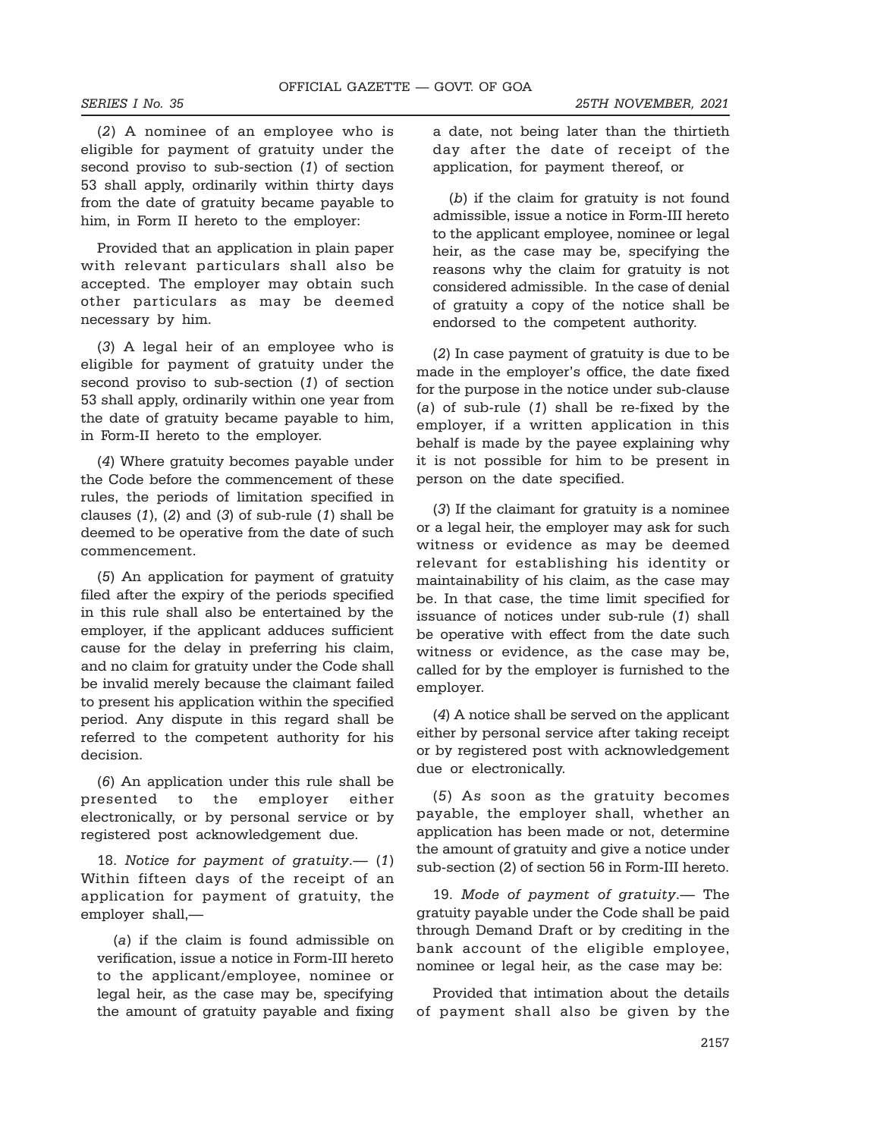(2) A nominee of an employee who is eligible for payment of gratuity under the second proviso to sub-section (1) of section 53 shall apply, ordinarily within thirty days from the date of gratuity became payable to him, in Form II hereto to the employer:

Provided that an application in plain paper with relevant particulars shall also be accepted. The employer may obtain such other particulars as may be deemed necessary by him.

(3) A legal heir of an employee who is eligible for payment of gratuity under the second proviso to sub-section (1) of section 53 shall apply, ordinarily within one year from the date of gratuity became payable to him, in Form-II hereto to the employer.

(4) Where gratuity becomes payable under the Code before the commencement of these rules, the periods of limitation specified in clauses  $(1)$ ,  $(2)$  and  $(3)$  of sub-rule  $(1)$  shall be deemed to be operative from the date of such commencement.

(5) An application for payment of gratuity filed after the expiry of the periods specified in this rule shall also be entertained by the employer, if the applicant adduces sufficient cause for the delay in preferring his claim, and no claim for gratuity under the Code shall be invalid merely because the claimant failed to present his application within the specified period. Any dispute in this regard shall be referred to the competent authority for his decision.

(6) An application under this rule shall be presented to the employer either electronically, or by personal service or by registered post acknowledgement due.

18. Notice for payment of gratuity.— (1) Within fifteen days of the receipt of an application for payment of gratuity, the employer shall,—

(a) if the claim is found admissible on verification, issue a notice in Form-III hereto to the applicant/employee, nominee or legal heir, as the case may be, specifying the amount of gratuity payable and fixing a date, not being later than the thirtieth day after the date of receipt of the application, for payment thereof, or

(b) if the claim for gratuity is not found admissible, issue a notice in Form-III hereto to the applicant employee, nominee or legal heir, as the case may be, specifying the reasons why the claim for gratuity is not considered admissible. In the case of denial of gratuity a copy of the notice shall be endorsed to the competent authority.

(2) In case payment of gratuity is due to be made in the employer's office, the date fixed for the purpose in the notice under sub-clause (a) of sub-rule (1) shall be re-fixed by the employer, if a written application in this behalf is made by the payee explaining why it is not possible for him to be present in person on the date specified.

(3) If the claimant for gratuity is a nominee or a legal heir, the employer may ask for such witness or evidence as may be deemed relevant for establishing his identity or maintainability of his claim, as the case may be. In that case, the time limit specified for issuance of notices under sub-rule (1) shall be operative with effect from the date such witness or evidence, as the case may be, called for by the employer is furnished to the employer.

(4) A notice shall be served on the applicant either by personal service after taking receipt or by registered post with acknowledgement due or electronically.

(5) As soon as the gratuity becomes payable, the employer shall, whether an application has been made or not, determine the amount of gratuity and give a notice under sub-section (2) of section 56 in Form-III hereto.

19. Mode of payment of gratuity.— The gratuity payable under the Code shall be paid through Demand Draft or by crediting in the bank account of the eligible employee, nominee or legal heir, as the case may be:

Provided that intimation about the details of payment shall also be given by the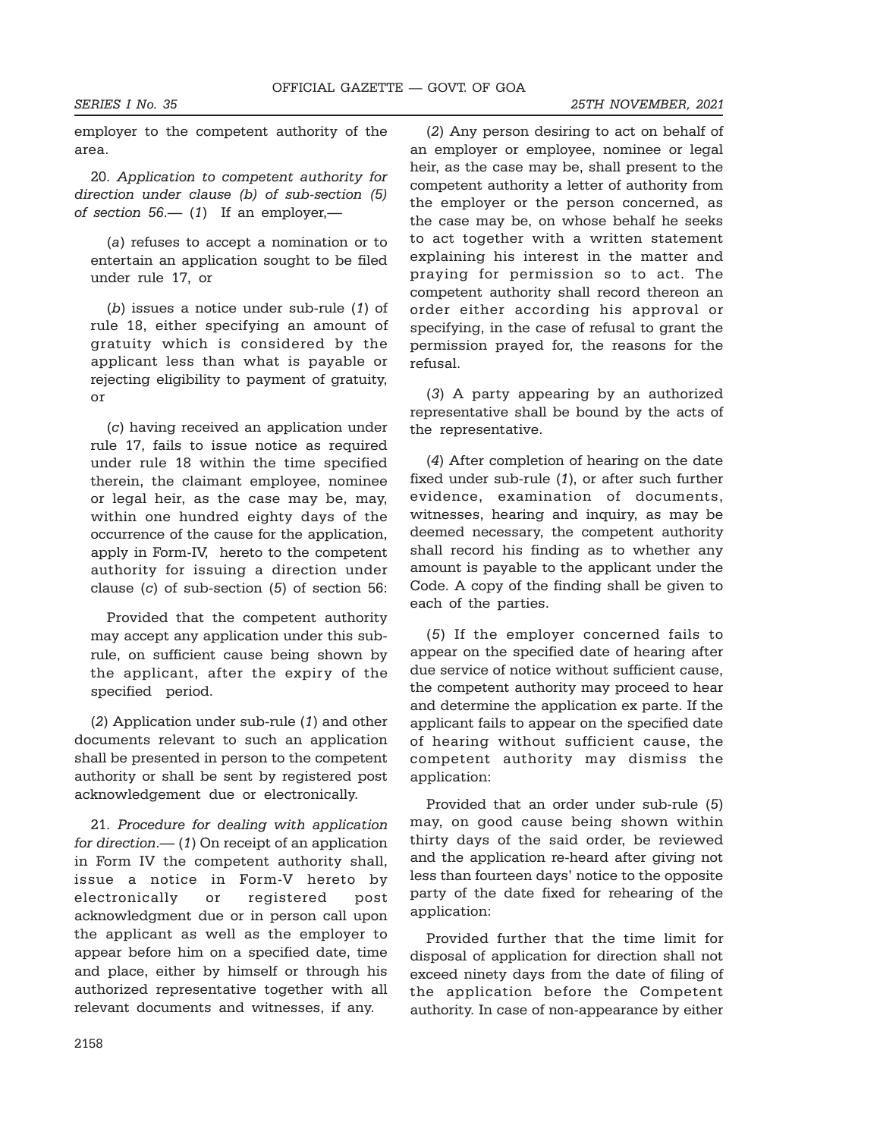employer to the competent authority of the area.

20. Application to competent authority for direction under clause (b) of sub-section (5) of section  $56 - (1)$  If an employer,—

(a) refuses to accept a nomination or to entertain an application sought to be filed under rule 17, or

(b) issues a notice under sub-rule (1) of rule 18, either specifying an amount of gratuity which is considered by the applicant less than what is payable or rejecting eligibility to payment of gratuity, or

(c) having received an application under rule 17, fails to issue notice as required under rule 18 within the time specified therein, the claimant employee, nominee or legal heir, as the case may be, may, within one hundred eighty days of the occurrence of the cause for the application, apply in Form-IV, hereto to the competent authority for issuing a direction under clause (c) of sub-section (5) of section 56:

Provided that the competent authority may accept any application under this subrule, on sufficient cause being shown by the applicant, after the expiry of the specified period.

(2) Application under sub-rule (1) and other documents relevant to such an application shall be presented in person to the competent authority or shall be sent by registered post acknowledgement due or electronically.

21. Procedure for dealing with application for direction.—  $(1)$  On receipt of an application in Form IV the competent authority shall, issue a notice in Form-V hereto by electronically or registered post acknowledgment due or in person call upon the applicant as well as the employer to appear before him on a specified date, time and place, either by himself or through his authorized representative together with all relevant documents and witnesses, if any.

(2) Any person desiring to act on behalf of an employer or employee, nominee or legal heir, as the case may be, shall present to the competent authority a letter of authority from the employer or the person concerned, as the case may be, on whose behalf he seeks to act together with a written statement explaining his interest in the matter and praying for permission so to act. The competent authority shall record thereon an order either according his approval or specifying, in the case of refusal to grant the permission prayed for, the reasons for the refusal.

(3) A party appearing by an authorized representative shall be bound by the acts of the representative.

(4) After completion of hearing on the date fixed under sub-rule (1), or after such further evidence, examination of documents, witnesses, hearing and inquiry, as may be deemed necessary, the competent authority shall record his finding as to whether any amount is payable to the applicant under the Code. A copy of the finding shall be given to each of the parties.

(5) If the employer concerned fails to appear on the specified date of hearing after due service of notice without sufficient cause, the competent authority may proceed to hear and determine the application ex parte. If the applicant fails to appear on the specified date of hearing without sufficient cause, the competent authority may dismiss the application:

Provided that an order under sub-rule (5) may, on good cause being shown within thirty days of the said order, be reviewed and the application re-heard after giving not less than fourteen days' notice to the opposite party of the date fixed for rehearing of the application:

Provided further that the time limit for disposal of application for direction shall not exceed ninety days from the date of filing of the application before the Competent authority. In case of non-appearance by either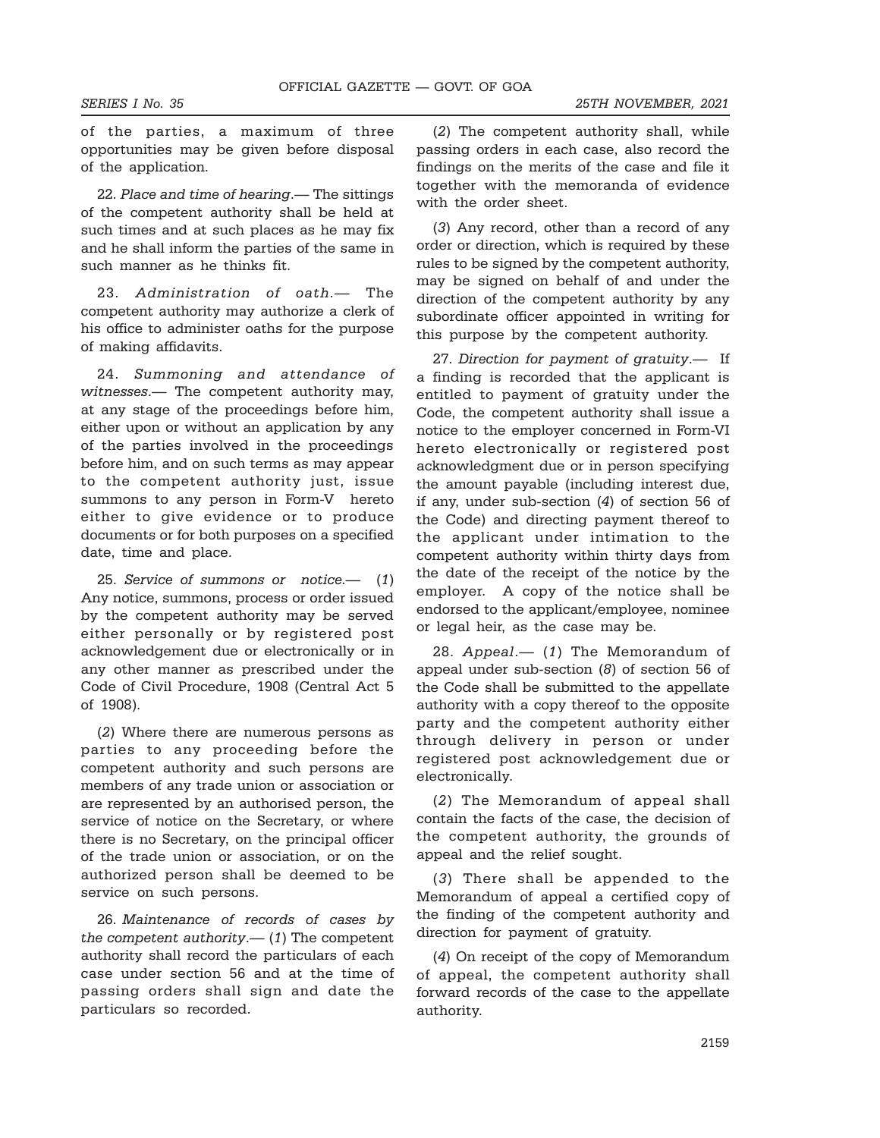of the parties, a maximum of three opportunities may be given before disposal of the application.

22. Place and time of hearing.— The sittings of the competent authority shall be held at such times and at such places as he may fix and he shall inform the parties of the same in such manner as he thinks fit.

23. Administration of oath.- The competent authority may authorize a clerk of his office to administer oaths for the purpose of making affidavits.

24. Summoning and attendance of witnesses.— The competent authority may, at any stage of the proceedings before him, either upon or without an application by any of the parties involved in the proceedings before him, and on such terms as may appear to the competent authority just, issue summons to any person in Form-V hereto either to give evidence or to produce documents or for both purposes on a specified date, time and place.

25. Service of summons or notice.— (1) Any notice, summons, process or order issued by the competent authority may be served either personally or by registered post acknowledgement due or electronically or in any other manner as prescribed under the Code of Civil Procedure, 1908 (Central Act 5 of 1908).

(2) Where there are numerous persons as parties to any proceeding before the competent authority and such persons are members of any trade union or association or are represented by an authorised person, the service of notice on the Secretary, or where there is no Secretary, on the principal officer of the trade union or association, or on the authorized person shall be deemed to be service on such persons.

26. Maintenance of records of cases by the competent authority. $-$  (1) The competent authority shall record the particulars of each case under section 56 and at the time of passing orders shall sign and date the particulars so recorded.

(2) The competent authority shall, while passing orders in each case, also record the findings on the merits of the case and file it together with the memoranda of evidence with the order sheet.

(3) Any record, other than a record of any order or direction, which is required by these rules to be signed by the competent authority, may be signed on behalf of and under the direction of the competent authority by any subordinate officer appointed in writing for this purpose by the competent authority.

27. Direction for payment of gratuity.— If a finding is recorded that the applicant is entitled to payment of gratuity under the Code, the competent authority shall issue a notice to the employer concerned in Form-VI hereto electronically or registered post acknowledgment due or in person specifying the amount payable (including interest due, if any, under sub-section (4) of section 56 of the Code) and directing payment thereof to the applicant under intimation to the competent authority within thirty days from the date of the receipt of the notice by the employer. A copy of the notice shall be endorsed to the applicant/employee, nominee or legal heir, as the case may be.

28. Appeal.— (1) The Memorandum of appeal under sub-section (8) of section 56 of the Code shall be submitted to the appellate authority with a copy thereof to the opposite party and the competent authority either through delivery in person or under registered post acknowledgement due or electronically.

(2) The Memorandum of appeal shall contain the facts of the case, the decision of the competent authority, the grounds of appeal and the relief sought.

(3) There shall be appended to the Memorandum of appeal a certified copy of the finding of the competent authority and direction for payment of gratuity.

(4) On receipt of the copy of Memorandum of appeal, the competent authority shall forward records of the case to the appellate authority.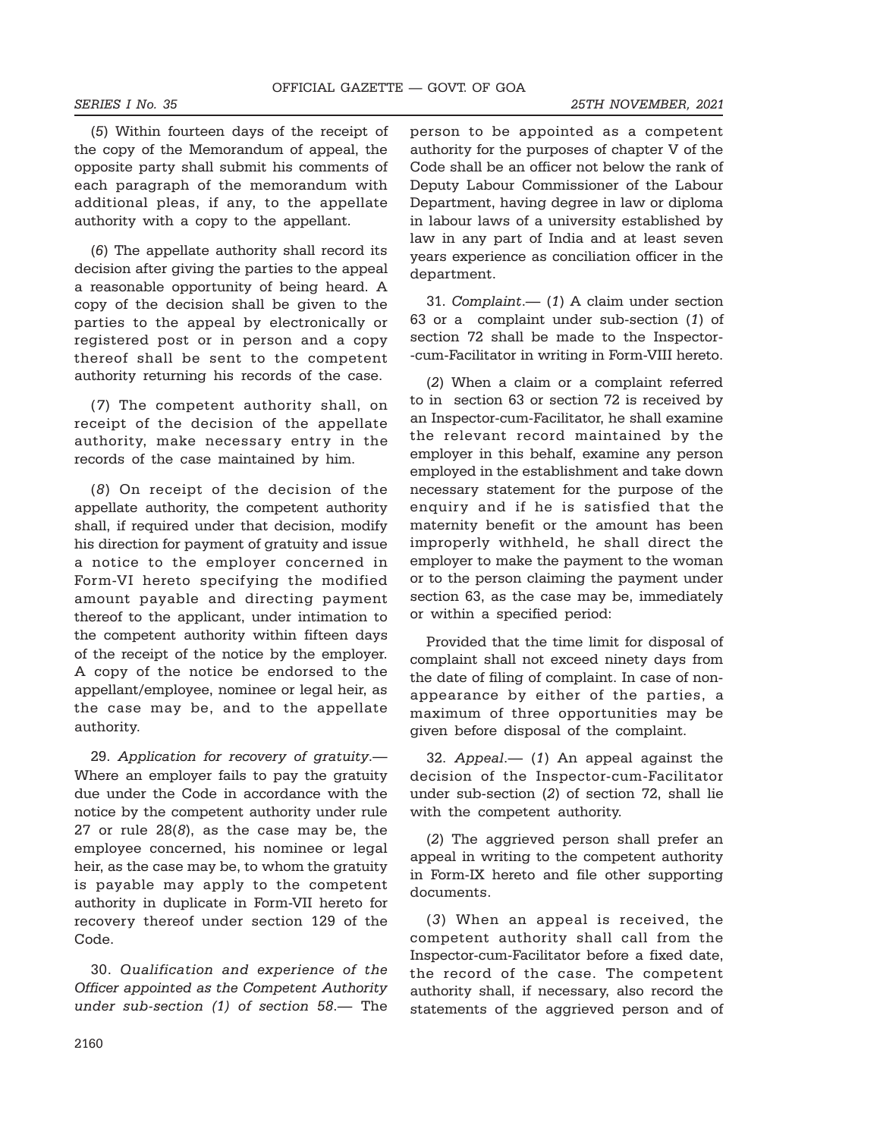SERIES I No. 35 25TH NOVEMBER, 2021

(5) Within fourteen days of the receipt of the copy of the Memorandum of appeal, the opposite party shall submit his comments of each paragraph of the memorandum with additional pleas, if any, to the appellate authority with a copy to the appellant.

(6) The appellate authority shall record its decision after giving the parties to the appeal a reasonable opportunity of being heard. A copy of the decision shall be given to the parties to the appeal by electronically or registered post or in person and a copy thereof shall be sent to the competent authority returning his records of the case.

(7) The competent authority shall, on receipt of the decision of the appellate authority, make necessary entry in the records of the case maintained by him.

(8) On receipt of the decision of the appellate authority, the competent authority shall, if required under that decision, modify his direction for payment of gratuity and issue a notice to the employer concerned in Form-VI hereto specifying the modified amount payable and directing payment thereof to the applicant, under intimation to the competent authority within fifteen days of the receipt of the notice by the employer. A copy of the notice be endorsed to the appellant/employee, nominee or legal heir, as the case may be, and to the appellate authority.

29. Application for recovery of gratuity.— Where an employer fails to pay the gratuity due under the Code in accordance with the notice by the competent authority under rule 27 or rule 28(8), as the case may be, the employee concerned, his nominee or legal heir, as the case may be, to whom the gratuity is payable may apply to the competent authority in duplicate in Form-VII hereto for recovery thereof under section 129 of the Code.

30. Qualification and experience of the Officer appointed as the Competent Authority under sub-section (1) of section 58.— The person to be appointed as a competent authority for the purposes of chapter V of the Code shall be an officer not below the rank of Deputy Labour Commissioner of the Labour Department, having degree in law or diploma in labour laws of a university established by law in any part of India and at least seven years experience as conciliation officer in the department.

31. Complaint.— (1) A claim under section 63 or a complaint under sub-section (1) of section 72 shall be made to the Inspector- -cum-Facilitator in writing in Form-VIII hereto.

(2) When a claim or a complaint referred to in section 63 or section 72 is received by an Inspector-cum-Facilitator, he shall examine the relevant record maintained by the employer in this behalf, examine any person employed in the establishment and take down necessary statement for the purpose of the enquiry and if he is satisfied that the maternity benefit or the amount has been improperly withheld, he shall direct the employer to make the payment to the woman or to the person claiming the payment under section 63, as the case may be, immediately or within a specified period:

Provided that the time limit for disposal of complaint shall not exceed ninety days from the date of filing of complaint. In case of nonappearance by either of the parties, a maximum of three opportunities may be given before disposal of the complaint.

32. Appeal.— (1) An appeal against the decision of the Inspector-cum-Facilitator under sub-section (2) of section 72, shall lie with the competent authority.

(2) The aggrieved person shall prefer an appeal in writing to the competent authority in Form-IX hereto and file other supporting documents.

(3) When an appeal is received, the competent authority shall call from the Inspector-cum-Facilitator before a fixed date, the record of the case. The competent authority shall, if necessary, also record the statements of the aggrieved person and of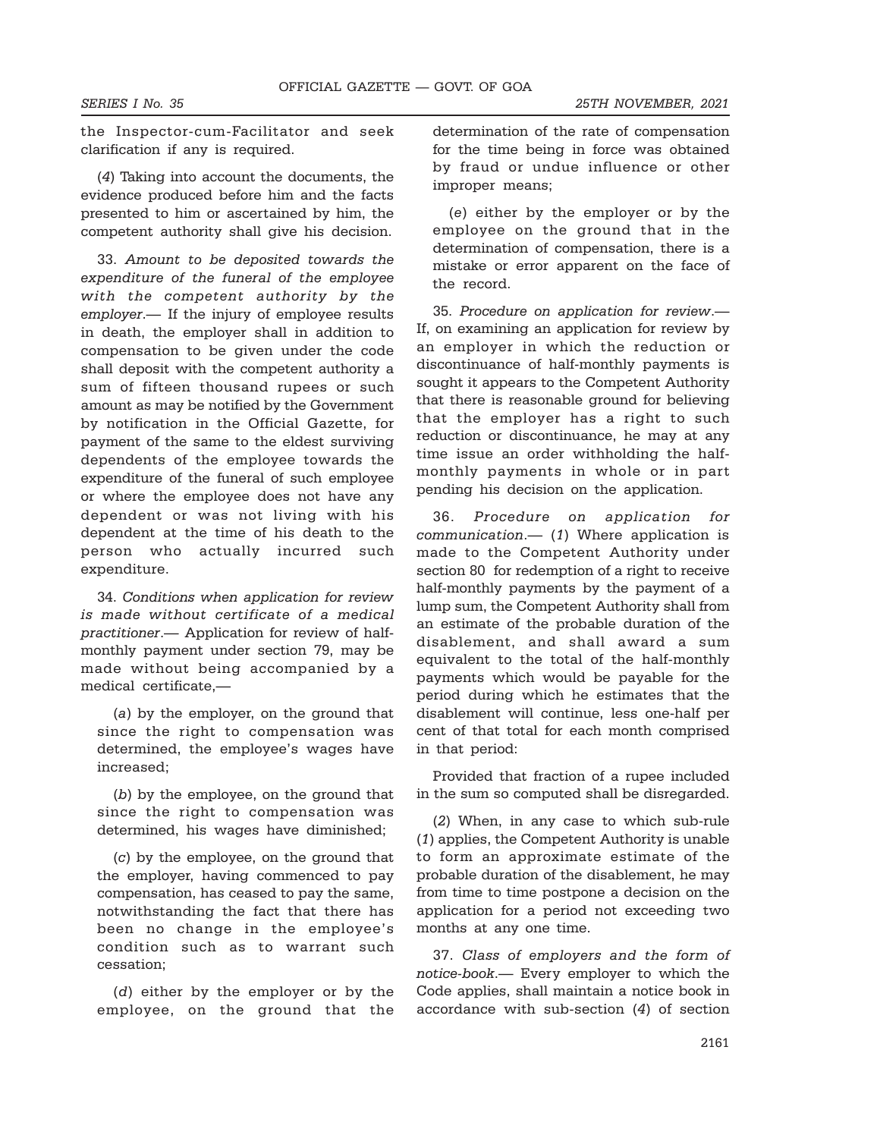the Inspector-cum-Facilitator and seek clarification if any is required.

(4) Taking into account the documents, the evidence produced before him and the facts presented to him or ascertained by him, the competent authority shall give his decision.

33. Amount to be deposited towards the expenditure of the funeral of the employee with the competent authority by the employer.— If the injury of employee results in death, the employer shall in addition to compensation to be given under the code shall deposit with the competent authority a sum of fifteen thousand rupees or such amount as may be notified by the Government by notification in the Official Gazette, for payment of the same to the eldest surviving dependents of the employee towards the expenditure of the funeral of such employee or where the employee does not have any dependent or was not living with his dependent at the time of his death to the person who actually incurred such expenditure.

34. Conditions when application for review is made without certificate of a medical practitioner.— Application for review of halfmonthly payment under section 79, may be made without being accompanied by a medical certificate,—

(a) by the employer, on the ground that since the right to compensation was determined, the employee's wages have increased;

(b) by the employee, on the ground that since the right to compensation was determined, his wages have diminished;

(c) by the employee, on the ground that the employer, having commenced to pay compensation, has ceased to pay the same, notwithstanding the fact that there has been no change in the employee's condition such as to warrant such cessation;

(d) either by the employer or by the employee, on the ground that the

determination of the rate of compensation for the time being in force was obtained by fraud or undue influence or other improper means;

(e) either by the employer or by the employee on the ground that in the determination of compensation, there is a mistake or error apparent on the face of the record.

35. Procedure on application for review.— If, on examining an application for review by an employer in which the reduction or discontinuance of half-monthly payments is sought it appears to the Competent Authority that there is reasonable ground for believing that the employer has a right to such reduction or discontinuance, he may at any time issue an order withholding the halfmonthly payments in whole or in part pending his decision on the application.

36. Procedure on application for communication.— (1) Where application is made to the Competent Authority under section 80 for redemption of a right to receive half-monthly payments by the payment of a lump sum, the Competent Authority shall from an estimate of the probable duration of the disablement, and shall award a sum equivalent to the total of the half-monthly payments which would be payable for the period during which he estimates that the disablement will continue, less one-half per cent of that total for each month comprised in that period:

Provided that fraction of a rupee included in the sum so computed shall be disregarded.

(2) When, in any case to which sub-rule (1) applies, the Competent Authority is unable to form an approximate estimate of the probable duration of the disablement, he may from time to time postpone a decision on the application for a period not exceeding two months at any one time.

37. Class of employers and the form of notice-book.— Every employer to which the Code applies, shall maintain a notice book in accordance with sub-section (4) of section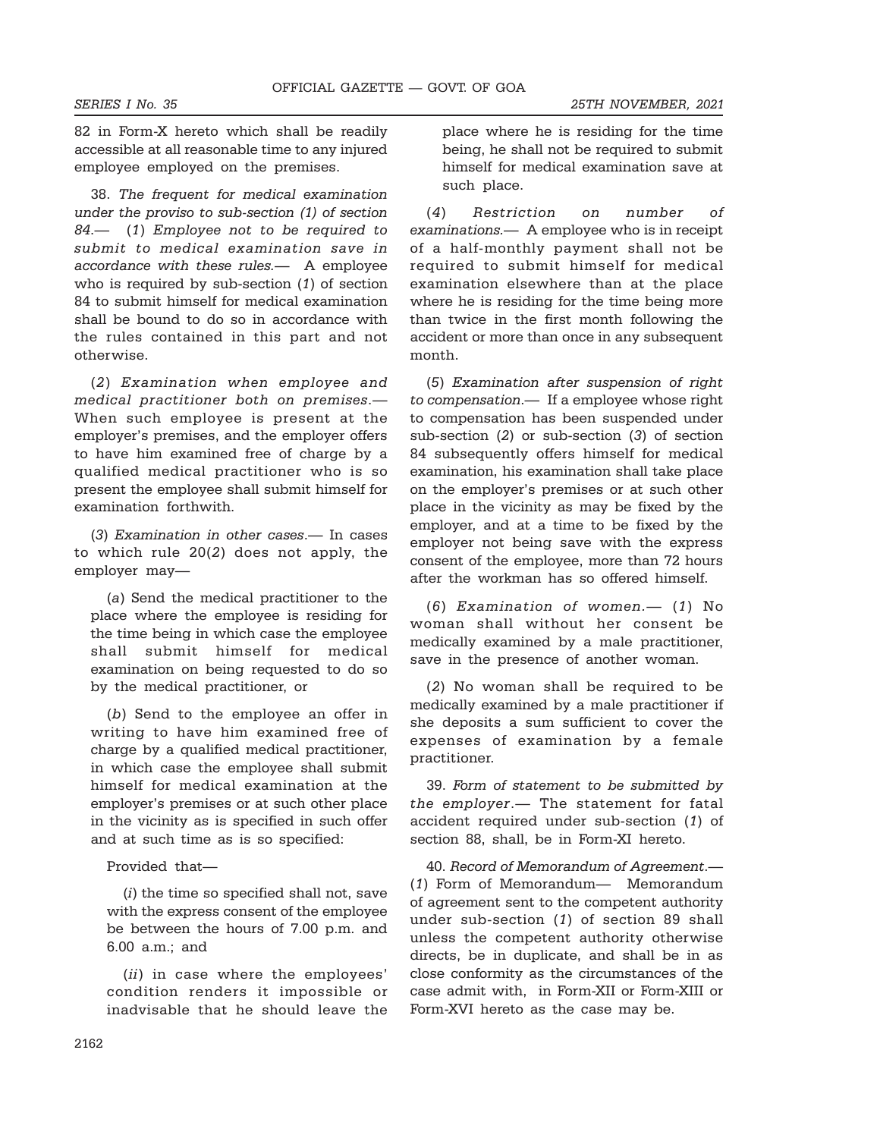82 in Form-X hereto which shall be readily accessible at all reasonable time to any injured employee employed on the premises.

38. The frequent for medical examination under the proviso to sub-section (1) of section 84.— (1) Employee not to be required to submit to medical examination save in accordance with these rules.— A employee who is required by sub-section (1) of section 84 to submit himself for medical examination shall be bound to do so in accordance with the rules contained in this part and not otherwise.

(2) Examination when employee and medical practitioner both on premises.— When such employee is present at the employer's premises, and the employer offers to have him examined free of charge by a qualified medical practitioner who is so present the employee shall submit himself for examination forthwith.

(3) Examination in other cases.— In cases to which rule 20(2) does not apply, the employer may—

(a) Send the medical practitioner to the place where the employee is residing for the time being in which case the employee shall submit himself for medical examination on being requested to do so by the medical practitioner, or

(b) Send to the employee an offer in writing to have him examined free of charge by a qualified medical practitioner, in which case the employee shall submit himself for medical examination at the employer's premises or at such other place in the vicinity as is specified in such offer and at such time as is so specified:

Provided that—

(i) the time so specified shall not, save with the express consent of the employee be between the hours of 7.00 p.m. and 6.00 a.m.; and

(*ii*) in case where the employees' condition renders it impossible or inadvisable that he should leave the

place where he is residing for the time being, he shall not be required to submit himself for medical examination save at such place.

(4) Restriction on number of examinations.— A employee who is in receipt of a half-monthly payment shall not be required to submit himself for medical examination elsewhere than at the place where he is residing for the time being more than twice in the first month following the accident or more than once in any subsequent month.

(5) Examination after suspension of right to compensation.— If a employee whose right to compensation has been suspended under sub-section (2) or sub-section (3) of section 84 subsequently offers himself for medical examination, his examination shall take place on the employer's premises or at such other place in the vicinity as may be fixed by the employer, and at a time to be fixed by the employer not being save with the express consent of the employee, more than 72 hours after the workman has so offered himself.

(6) Examination of women.— (1) No woman shall without her consent be medically examined by a male practitioner, save in the presence of another woman.

(2) No woman shall be required to be medically examined by a male practitioner if she deposits a sum sufficient to cover the expenses of examination by a female practitioner.

39. Form of statement to be submitted by the employer.— The statement for fatal accident required under sub-section (1) of section 88, shall, be in Form-XI hereto.

40. Record of Memorandum of Agreement.— (1) Form of Memorandum— Memorandum of agreement sent to the competent authority under sub-section (1) of section 89 shall unless the competent authority otherwise directs, be in duplicate, and shall be in as close conformity as the circumstances of the case admit with, in Form-XII or Form-XIII or Form-XVI hereto as the case may be.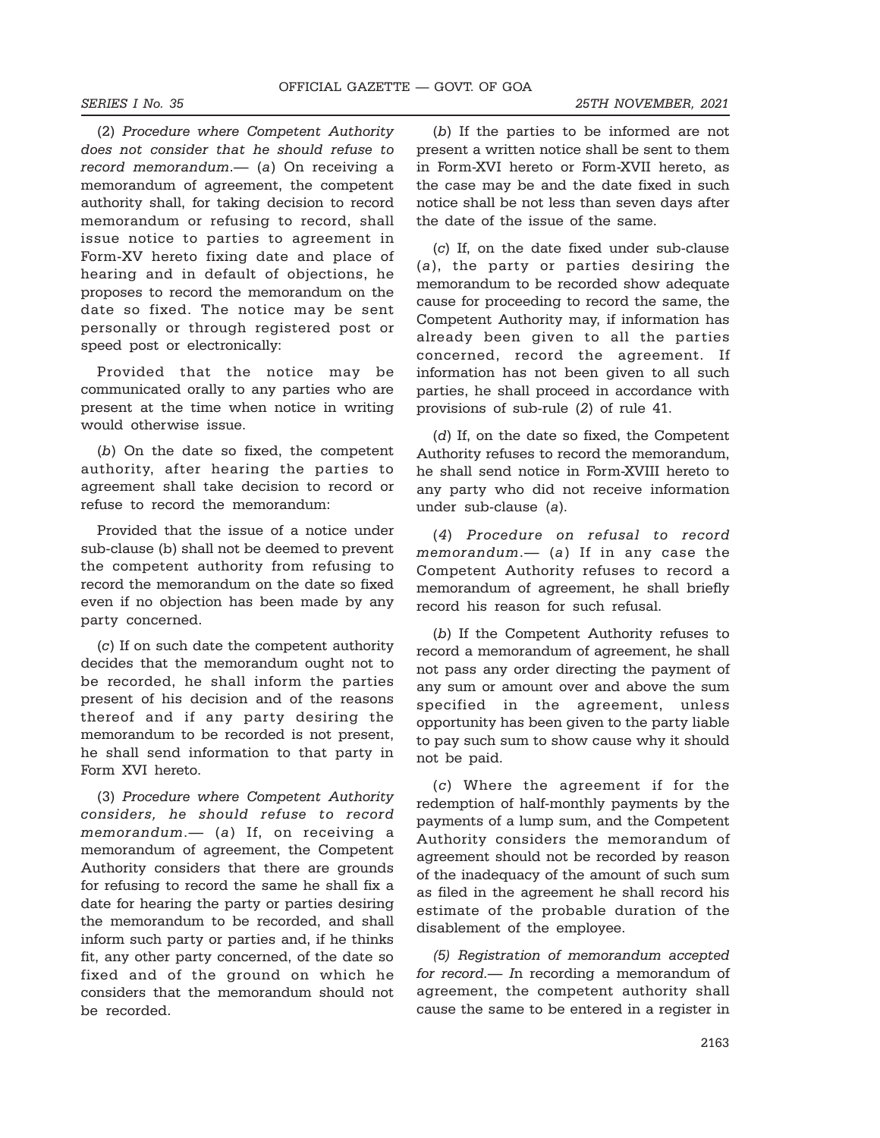(2) Procedure where Competent Authority does not consider that he should refuse to record memorandum.— (a) On receiving a memorandum of agreement, the competent authority shall, for taking decision to record memorandum or refusing to record, shall issue notice to parties to agreement in Form-XV hereto fixing date and place of hearing and in default of objections, he proposes to record the memorandum on the date so fixed. The notice may be sent personally or through registered post or speed post or electronically:

Provided that the notice may be communicated orally to any parties who are present at the time when notice in writing would otherwise issue.

(b) On the date so fixed, the competent authority, after hearing the parties to agreement shall take decision to record or refuse to record the memorandum:

Provided that the issue of a notice under sub-clause (b) shall not be deemed to prevent the competent authority from refusing to record the memorandum on the date so fixed even if no objection has been made by any party concerned.

(c) If on such date the competent authority decides that the memorandum ought not to be recorded, he shall inform the parties present of his decision and of the reasons thereof and if any party desiring the memorandum to be recorded is not present, he shall send information to that party in Form XVI hereto.

(3) Procedure where Competent Authority considers, he should refuse to record memorandum.- (a) If, on receiving a memorandum of agreement, the Competent Authority considers that there are grounds for refusing to record the same he shall fix a date for hearing the party or parties desiring the memorandum to be recorded, and shall inform such party or parties and, if he thinks fit, any other party concerned, of the date so fixed and of the ground on which he considers that the memorandum should not be recorded.

(b) If the parties to be informed are not present a written notice shall be sent to them in Form-XVI hereto or Form-XVII hereto, as the case may be and the date fixed in such notice shall be not less than seven days after the date of the issue of the same.

(c) If, on the date fixed under sub-clause (a), the party or parties desiring the memorandum to be recorded show adequate cause for proceeding to record the same, the Competent Authority may, if information has already been given to all the parties concerned, record the agreement. If information has not been given to all such parties, he shall proceed in accordance with provisions of sub-rule (2) of rule 41.

(d) If, on the date so fixed, the Competent Authority refuses to record the memorandum, he shall send notice in Form-XVIII hereto to any party who did not receive information under sub-clause (a).

(4) Procedure on refusal to record memorandum. $-$  (a) If in any case the Competent Authority refuses to record a memorandum of agreement, he shall briefly record his reason for such refusal.

(b) If the Competent Authority refuses to record a memorandum of agreement, he shall not pass any order directing the payment of any sum or amount over and above the sum specified in the agreement, unless opportunity has been given to the party liable to pay such sum to show cause why it should not be paid.

(c) Where the agreement if for the redemption of half-monthly payments by the payments of a lump sum, and the Competent Authority considers the memorandum of agreement should not be recorded by reason of the inadequacy of the amount of such sum as filed in the agreement he shall record his estimate of the probable duration of the disablement of the employee.

(5) Registration of memorandum accepted for record.— In recording a memorandum of agreement, the competent authority shall cause the same to be entered in a register in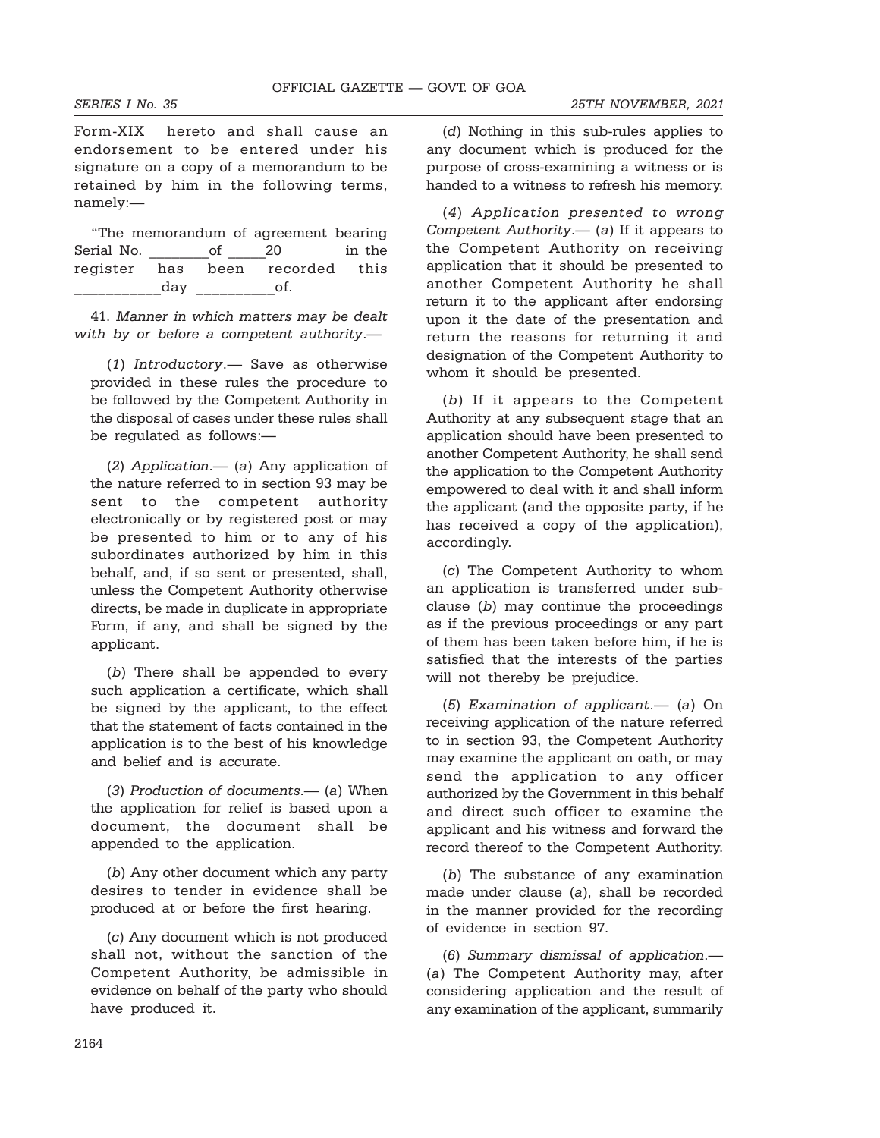Form-XIX hereto and shall cause an endorsement to be entered under his signature on a copy of a memorandum to be retained by him in the following terms, namely:—

|            |     |    | "The memorandum of agreement bearing |        |
|------------|-----|----|--------------------------------------|--------|
| Serial No. |     | of | 20                                   | in the |
|            |     |    | register has been recorded this      |        |
|            | day |    | ot.                                  |        |

41. Manner in which matters may be dealt with by or before a competent authority.—

(1) Introductory.— Save as otherwise provided in these rules the procedure to be followed by the Competent Authority in the disposal of cases under these rules shall be regulated as follows:—

(2) Application.— (a) Any application of the nature referred to in section 93 may be sent to the competent authority electronically or by registered post or may be presented to him or to any of his subordinates authorized by him in this behalf, and, if so sent or presented, shall, unless the Competent Authority otherwise directs, be made in duplicate in appropriate Form, if any, and shall be signed by the applicant.

(b) There shall be appended to every such application a certificate, which shall be signed by the applicant, to the effect that the statement of facts contained in the application is to the best of his knowledge and belief and is accurate.

(3) Production of documents.— (a) When the application for relief is based upon a document, the document shall be appended to the application.

(b) Any other document which any party desires to tender in evidence shall be produced at or before the first hearing.

(c) Any document which is not produced shall not, without the sanction of the Competent Authority, be admissible in evidence on behalf of the party who should have produced it.

(d) Nothing in this sub-rules applies to any document which is produced for the purpose of cross-examining a witness or is handed to a witness to refresh his memory.

(4) Application presented to wrong Competent Authority.— (a) If it appears to the Competent Authority on receiving application that it should be presented to another Competent Authority he shall return it to the applicant after endorsing upon it the date of the presentation and return the reasons for returning it and designation of the Competent Authority to whom it should be presented.

(b) If it appears to the Competent Authority at any subsequent stage that an application should have been presented to another Competent Authority, he shall send the application to the Competent Authority empowered to deal with it and shall inform the applicant (and the opposite party, if he has received a copy of the application), accordingly.

(c) The Competent Authority to whom an application is transferred under subclause (b) may continue the proceedings as if the previous proceedings or any part of them has been taken before him, if he is satisfied that the interests of the parties will not thereby be prejudice.

(5) Examination of applicant.— (a) On receiving application of the nature referred to in section 93, the Competent Authority may examine the applicant on oath, or may send the application to any officer authorized by the Government in this behalf and direct such officer to examine the applicant and his witness and forward the record thereof to the Competent Authority.

(b) The substance of any examination made under clause (a), shall be recorded in the manner provided for the recording of evidence in section 97.

(6) Summary dismissal of application.— (a) The Competent Authority may, after considering application and the result of any examination of the applicant, summarily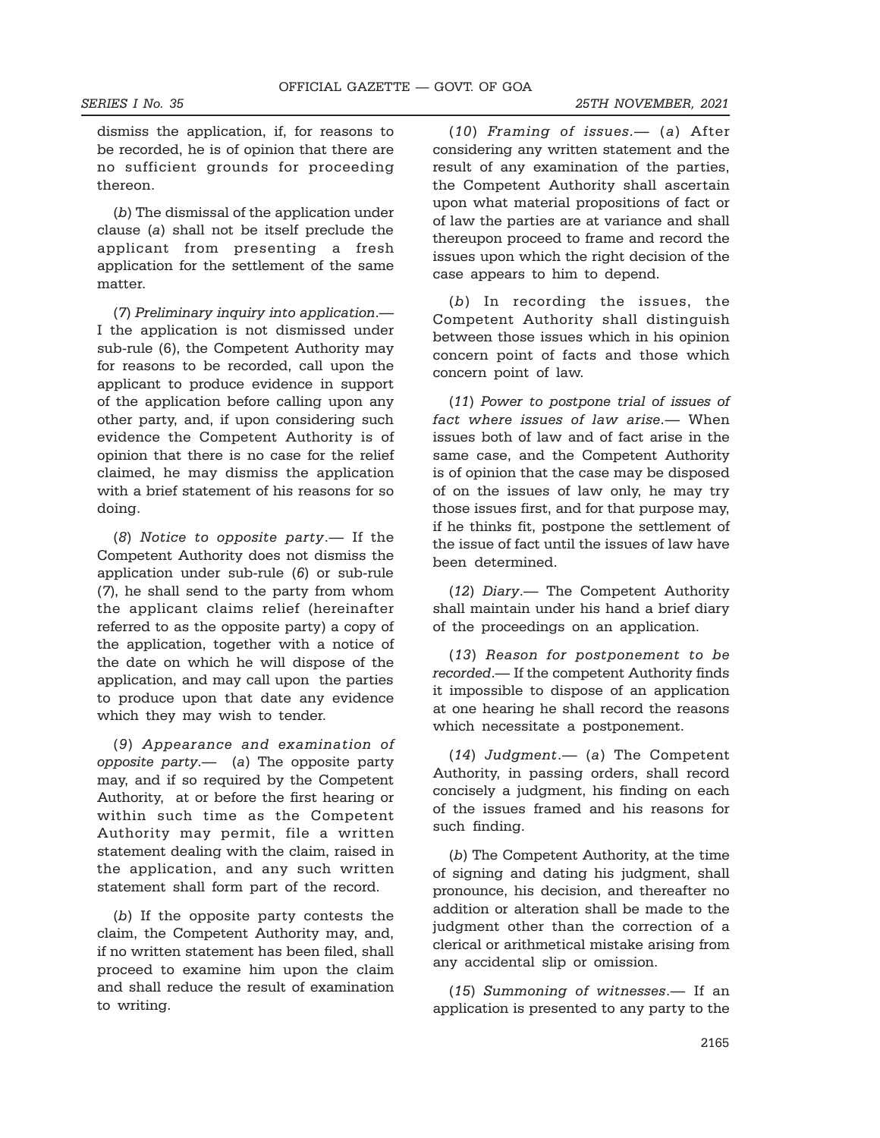SERIES I No. 35 25TH NOVEMBER, 2021

dismiss the application, if, for reasons to be recorded, he is of opinion that there are no sufficient grounds for proceeding thereon.

(b) The dismissal of the application under clause (a) shall not be itself preclude the applicant from presenting a fresh application for the settlement of the same matter.

(7) Preliminary inquiry into application.— I the application is not dismissed under sub-rule (6), the Competent Authority may for reasons to be recorded, call upon the applicant to produce evidence in support of the application before calling upon any other party, and, if upon considering such evidence the Competent Authority is of opinion that there is no case for the relief claimed, he may dismiss the application with a brief statement of his reasons for so doing.

(8) Notice to opposite party.— If the Competent Authority does not dismiss the application under sub-rule (6) or sub-rule (7), he shall send to the party from whom the applicant claims relief (hereinafter referred to as the opposite party) a copy of the application, together with a notice of the date on which he will dispose of the application, and may call upon the parties to produce upon that date any evidence which they may wish to tender.

(9) Appearance and examination of opposite party.— (a) The opposite party may, and if so required by the Competent Authority, at or before the first hearing or within such time as the Competent Authority may permit, file a written statement dealing with the claim, raised in the application, and any such written statement shall form part of the record.

(b) If the opposite party contests the claim, the Competent Authority may, and, if no written statement has been filed, shall proceed to examine him upon the claim and shall reduce the result of examination to writing.

(10) Framing of issues.— (a) After considering any written statement and the result of any examination of the parties, the Competent Authority shall ascertain upon what material propositions of fact or of law the parties are at variance and shall thereupon proceed to frame and record the issues upon which the right decision of the case appears to him to depend.

(b) In recording the issues, the Competent Authority shall distinguish between those issues which in his opinion concern point of facts and those which concern point of law.

(11) Power to postpone trial of issues of fact where issues of law arise.— When issues both of law and of fact arise in the same case, and the Competent Authority is of opinion that the case may be disposed of on the issues of law only, he may try those issues first, and for that purpose may, if he thinks fit, postpone the settlement of the issue of fact until the issues of law have been determined.

(12) Diary.— The Competent Authority shall maintain under his hand a brief diary of the proceedings on an application.

(13) Reason for postponement to be recorded.— If the competent Authority finds it impossible to dispose of an application at one hearing he shall record the reasons which necessitate a postponement.

(14) Judgment.— (a) The Competent Authority, in passing orders, shall record concisely a judgment, his finding on each of the issues framed and his reasons for such finding.

(b) The Competent Authority, at the time of signing and dating his judgment, shall pronounce, his decision, and thereafter no addition or alteration shall be made to the judgment other than the correction of a clerical or arithmetical mistake arising from any accidental slip or omission.

(15) Summoning of witnesses.— If an application is presented to any party to the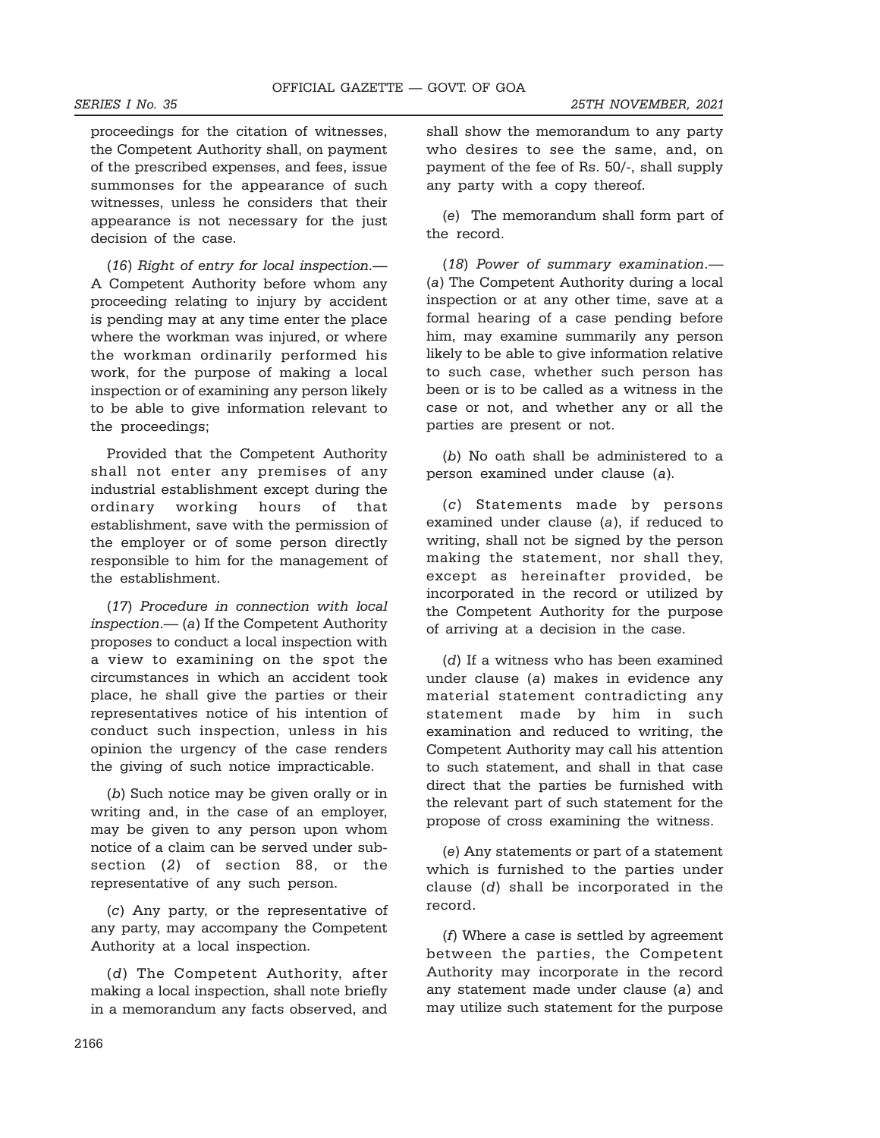proceedings for the citation of witnesses, the Competent Authority shall, on payment of the prescribed expenses, and fees, issue summonses for the appearance of such witnesses, unless he considers that their appearance is not necessary for the just decision of the case.

(16) Right of entry for local inspection.— A Competent Authority before whom any proceeding relating to injury by accident is pending may at any time enter the place where the workman was injured, or where the workman ordinarily performed his work, for the purpose of making a local inspection or of examining any person likely to be able to give information relevant to the proceedings;

Provided that the Competent Authority shall not enter any premises of any industrial establishment except during the ordinary working hours of that establishment, save with the permission of the employer or of some person directly responsible to him for the management of the establishment.

(17) Procedure in connection with local inspection.— (a) If the Competent Authority proposes to conduct a local inspection with a view to examining on the spot the circumstances in which an accident took place, he shall give the parties or their representatives notice of his intention of conduct such inspection, unless in his opinion the urgency of the case renders the giving of such notice impracticable.

(b) Such notice may be given orally or in writing and, in the case of an employer, may be given to any person upon whom notice of a claim can be served under subsection (2) of section 88, or the representative of any such person.

(c) Any party, or the representative of any party, may accompany the Competent Authority at a local inspection.

(d) The Competent Authority, after making a local inspection, shall note briefly in a memorandum any facts observed, and

shall show the memorandum to any party who desires to see the same, and, on payment of the fee of Rs. 50/-, shall supply any party with a copy thereof.

(e) The memorandum shall form part of the record.

(18) Power of summary examination.— (a) The Competent Authority during a local inspection or at any other time, save at a formal hearing of a case pending before him, may examine summarily any person likely to be able to give information relative to such case, whether such person has been or is to be called as a witness in the case or not, and whether any or all the parties are present or not.

(b) No oath shall be administered to a person examined under clause (a).

(c) Statements made by persons examined under clause (a), if reduced to writing, shall not be signed by the person making the statement, nor shall they, except as hereinafter provided, be incorporated in the record or utilized by the Competent Authority for the purpose of arriving at a decision in the case.

(d) If a witness who has been examined under clause (a) makes in evidence any material statement contradicting any statement made by him in such examination and reduced to writing, the Competent Authority may call his attention to such statement, and shall in that case direct that the parties be furnished with the relevant part of such statement for the propose of cross examining the witness.

(e) Any statements or part of a statement which is furnished to the parties under clause (d) shall be incorporated in the record.

 $(f)$  Where a case is settled by agreement between the parties, the Competent Authority may incorporate in the record any statement made under clause (a) and may utilize such statement for the purpose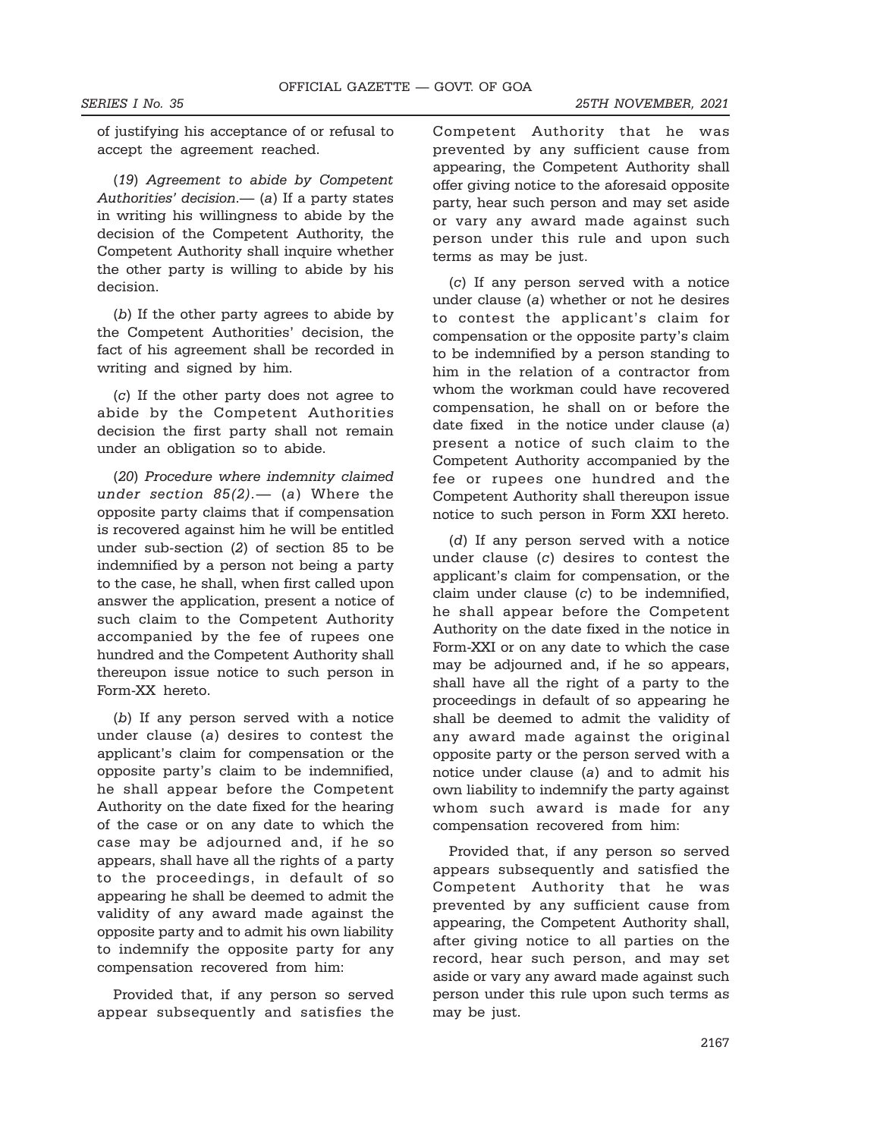of justifying his acceptance of or refusal to accept the agreement reached.

(19) Agreement to abide by Competent Authorities' decision.— (a) If a party states in writing his willingness to abide by the decision of the Competent Authority, the Competent Authority shall inquire whether the other party is willing to abide by his decision.

(b) If the other party agrees to abide by the Competent Authorities' decision, the fact of his agreement shall be recorded in writing and signed by him.

(c) If the other party does not agree to abide by the Competent Authorities decision the first party shall not remain under an obligation so to abide.

(20) Procedure where indemnity claimed under section  $85(2)$ . (a) Where the opposite party claims that if compensation is recovered against him he will be entitled under sub-section (2) of section 85 to be indemnified by a person not being a party to the case, he shall, when first called upon answer the application, present a notice of such claim to the Competent Authority accompanied by the fee of rupees one hundred and the Competent Authority shall thereupon issue notice to such person in Form-XX hereto.

(b) If any person served with a notice under clause (a) desires to contest the applicant's claim for compensation or the opposite party's claim to be indemnified, he shall appear before the Competent Authority on the date fixed for the hearing of the case or on any date to which the case may be adjourned and, if he so appears, shall have all the rights of a party to the proceedings, in default of so appearing he shall be deemed to admit the validity of any award made against the opposite party and to admit his own liability to indemnify the opposite party for any compensation recovered from him:

Provided that, if any person so served appear subsequently and satisfies the

Competent Authority that he was prevented by any sufficient cause from appearing, the Competent Authority shall offer giving notice to the aforesaid opposite party, hear such person and may set aside or vary any award made against such person under this rule and upon such terms as may be just.

(c) If any person served with a notice under clause (a) whether or not he desires to contest the applicant's claim for compensation or the opposite party's claim to be indemnified by a person standing to him in the relation of a contractor from whom the workman could have recovered compensation, he shall on or before the date fixed in the notice under clause (a) present a notice of such claim to the Competent Authority accompanied by the fee or rupees one hundred and the Competent Authority shall thereupon issue notice to such person in Form XXI hereto.

(d) If any person served with a notice under clause (c) desires to contest the applicant's claim for compensation, or the claim under clause (c) to be indemnified, he shall appear before the Competent Authority on the date fixed in the notice in Form-XXI or on any date to which the case may be adjourned and, if he so appears, shall have all the right of a party to the proceedings in default of so appearing he shall be deemed to admit the validity of any award made against the original opposite party or the person served with a notice under clause (a) and to admit his own liability to indemnify the party against whom such award is made for any compensation recovered from him:

Provided that, if any person so served appears subsequently and satisfied the Competent Authority that he was prevented by any sufficient cause from appearing, the Competent Authority shall, after giving notice to all parties on the record, hear such person, and may set aside or vary any award made against such person under this rule upon such terms as may be just.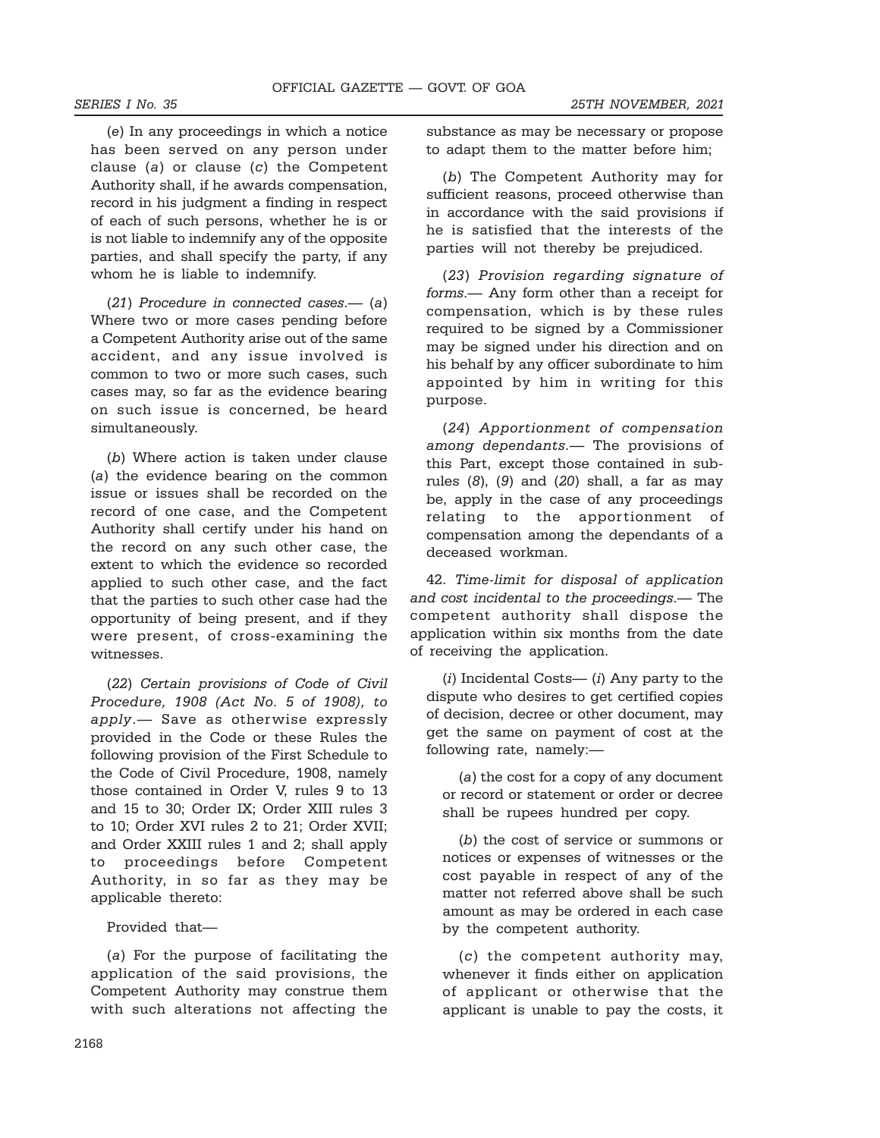(e) In any proceedings in which a notice has been served on any person under clause (a) or clause (c) the Competent Authority shall, if he awards compensation, record in his judgment a finding in respect of each of such persons, whether he is or is not liable to indemnify any of the opposite parties, and shall specify the party, if any whom he is liable to indemnify.

(21) Procedure in connected cases.— (a) Where two or more cases pending before a Competent Authority arise out of the same accident, and any issue involved is common to two or more such cases, such cases may, so far as the evidence bearing on such issue is concerned, be heard simultaneously.

(b) Where action is taken under clause (a) the evidence bearing on the common issue or issues shall be recorded on the record of one case, and the Competent Authority shall certify under his hand on the record on any such other case, the extent to which the evidence so recorded applied to such other case, and the fact that the parties to such other case had the opportunity of being present, and if they were present, of cross-examining the witnesses.

(22) Certain provisions of Code of Civil Procedure, 1908 (Act No. 5 of 1908), to apply.— Save as otherwise expressly provided in the Code or these Rules the following provision of the First Schedule to the Code of Civil Procedure, 1908, namely those contained in Order V, rules 9 to 13 and 15 to 30; Order IX; Order XIII rules 3 to 10; Order XVI rules 2 to 21; Order XVII; and Order XXIII rules 1 and 2; shall apply to proceedings before Competent Authority, in so far as they may be applicable thereto:

Provided that—

(a) For the purpose of facilitating the application of the said provisions, the Competent Authority may construe them with such alterations not affecting the

substance as may be necessary or propose to adapt them to the matter before him;

(b) The Competent Authority may for sufficient reasons, proceed otherwise than in accordance with the said provisions if he is satisfied that the interests of the parties will not thereby be prejudiced.

(23) Provision regarding signature of forms.— Any form other than a receipt for compensation, which is by these rules required to be signed by a Commissioner may be signed under his direction and on his behalf by any officer subordinate to him appointed by him in writing for this purpose.

(24) Apportionment of compensation among dependants.— The provisions of this Part, except those contained in subrules  $(8)$ ,  $(9)$  and  $(20)$  shall, a far as may be, apply in the case of any proceedings relating to the apportionment of compensation among the dependants of a deceased workman.

42. Time-limit for disposal of application and cost incidental to the proceedings.— The competent authority shall dispose the application within six months from the date of receiving the application.

 $(i)$  Incidental Costs— $(i)$  Any party to the dispute who desires to get certified copies of decision, decree or other document, may get the same on payment of cost at the following rate, namely:—

(a) the cost for a copy of any document or record or statement or order or decree shall be rupees hundred per copy.

(b) the cost of service or summons or notices or expenses of witnesses or the cost payable in respect of any of the matter not referred above shall be such amount as may be ordered in each case by the competent authority.

(c) the competent authority may, whenever it finds either on application of applicant or otherwise that the applicant is unable to pay the costs, it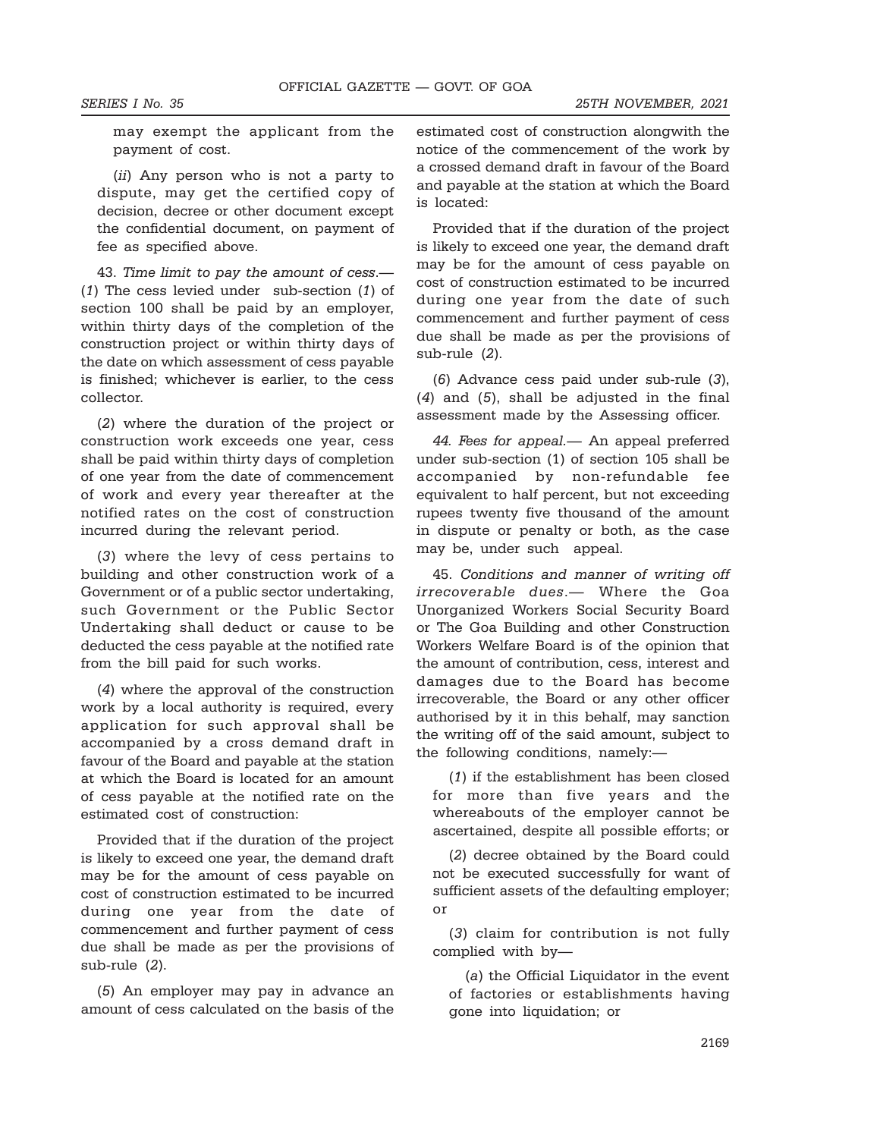may exempt the applicant from the payment of cost.

(ii) Any person who is not a party to dispute, may get the certified copy of decision, decree or other document except the confidential document, on payment of fee as specified above.

43. Time limit to pay the amount of cess.— (1) The cess levied under sub-section (1) of section 100 shall be paid by an employer, within thirty days of the completion of the construction project or within thirty days of the date on which assessment of cess payable is finished; whichever is earlier, to the cess collector.

(2) where the duration of the project or construction work exceeds one year, cess shall be paid within thirty days of completion of one year from the date of commencement of work and every year thereafter at the notified rates on the cost of construction incurred during the relevant period.

(3) where the levy of cess pertains to building and other construction work of a Government or of a public sector undertaking, such Government or the Public Sector Undertaking shall deduct or cause to be deducted the cess payable at the notified rate from the bill paid for such works.

(4) where the approval of the construction work by a local authority is required, every application for such approval shall be accompanied by a cross demand draft in favour of the Board and payable at the station at which the Board is located for an amount of cess payable at the notified rate on the estimated cost of construction:

Provided that if the duration of the project is likely to exceed one year, the demand draft may be for the amount of cess payable on cost of construction estimated to be incurred during one year from the date of commencement and further payment of cess due shall be made as per the provisions of sub-rule (2).

(5) An employer may pay in advance an amount of cess calculated on the basis of the estimated cost of construction alongwith the notice of the commencement of the work by a crossed demand draft in favour of the Board and payable at the station at which the Board is located:

Provided that if the duration of the project is likely to exceed one year, the demand draft may be for the amount of cess payable on cost of construction estimated to be incurred during one year from the date of such commencement and further payment of cess due shall be made as per the provisions of sub-rule (2).

(6) Advance cess paid under sub-rule (3), (4) and (5), shall be adjusted in the final assessment made by the Assessing officer.

44. Fees for appeal.- An appeal preferred under sub-section (1) of section 105 shall be accompanied by non-refundable fee equivalent to half percent, but not exceeding rupees twenty five thousand of the amount in dispute or penalty or both, as the case may be, under such appeal.

45. Conditions and manner of writing off irrecoverable dues.— Where the Goa Unorganized Workers Social Security Board or The Goa Building and other Construction Workers Welfare Board is of the opinion that the amount of contribution, cess, interest and damages due to the Board has become irrecoverable, the Board or any other officer authorised by it in this behalf, may sanction the writing off of the said amount, subject to the following conditions, namely:—

(1) if the establishment has been closed for more than five years and the whereabouts of the employer cannot be ascertained, despite all possible efforts; or

(2) decree obtained by the Board could not be executed successfully for want of sufficient assets of the defaulting employer; or

(3) claim for contribution is not fully complied with by—

(a) the Official Liquidator in the event of factories or establishments having gone into liquidation; or

2169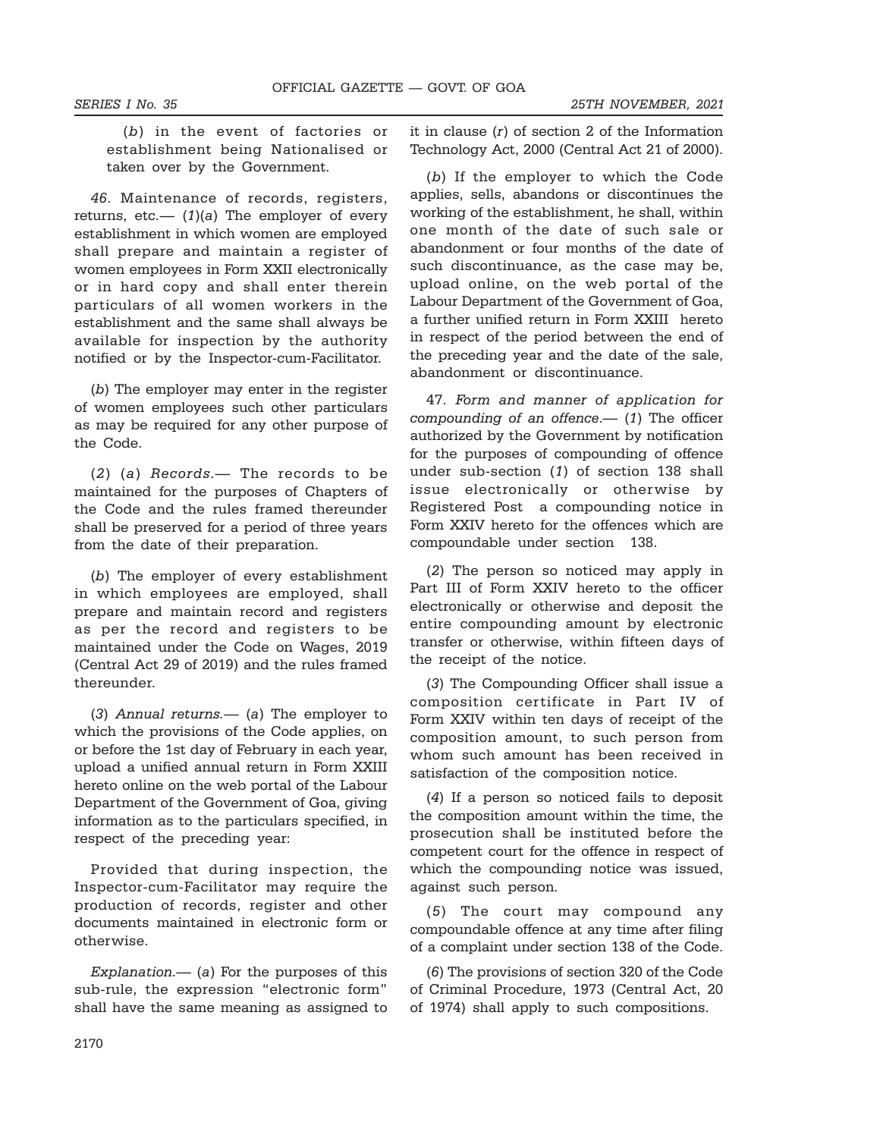(b) in the event of factories or establishment being Nationalised or taken over by the Government.

46. Maintenance of records, registers, returns, etc.—  $(1)(a)$  The employer of every establishment in which women are employed shall prepare and maintain a register of women employees in Form XXII electronically or in hard copy and shall enter therein particulars of all women workers in the establishment and the same shall always be available for inspection by the authority notified or by the Inspector-cum-Facilitator.

(b) The employer may enter in the register of women employees such other particulars as may be required for any other purpose of the Code.

(2) (a) Records.— The records to be maintained for the purposes of Chapters of the Code and the rules framed thereunder shall be preserved for a period of three years from the date of their preparation.

(b) The employer of every establishment in which employees are employed, shall prepare and maintain record and registers as per the record and registers to be maintained under the Code on Wages, 2019 (Central Act 29 of 2019) and the rules framed thereunder.

(3) Annual returns.— (a) The employer to which the provisions of the Code applies, on or before the 1st day of February in each year, upload a unified annual return in Form XXIII hereto online on the web portal of the Labour Department of the Government of Goa, giving information as to the particulars specified, in respect of the preceding year:

Provided that during inspection, the Inspector-cum-Facilitator may require the production of records, register and other documents maintained in electronic form or otherwise.

Explanation.—  $(a)$  For the purposes of this sub-rule, the expression "electronic form" shall have the same meaning as assigned to it in clause (r) of section 2 of the Information Technology Act, 2000 (Central Act 21 of 2000).

(b) If the employer to which the Code applies, sells, abandons or discontinues the working of the establishment, he shall, within one month of the date of such sale or abandonment or four months of the date of such discontinuance, as the case may be, upload online, on the web portal of the Labour Department of the Government of Goa, a further unified return in Form XXIII hereto in respect of the period between the end of the preceding year and the date of the sale, abandonment or discontinuance.

47. Form and manner of application for compounding of an offence.— (1) The officer authorized by the Government by notification for the purposes of compounding of offence under sub-section (1) of section 138 shall issue electronically or otherwise by Registered Post a compounding notice in Form XXIV hereto for the offences which are compoundable under section 138.

(2) The person so noticed may apply in Part III of Form XXIV hereto to the officer electronically or otherwise and deposit the entire compounding amount by electronic transfer or otherwise, within fifteen days of the receipt of the notice.

(3) The Compounding Officer shall issue a composition certificate in Part IV of Form XXIV within ten days of receipt of the composition amount, to such person from whom such amount has been received in satisfaction of the composition notice.

(4) If a person so noticed fails to deposit the composition amount within the time, the prosecution shall be instituted before the competent court for the offence in respect of which the compounding notice was issued, against such person.

(5) The court may compound any compoundable offence at any time after filing of a complaint under section 138 of the Code.

(6) The provisions of section 320 of the Code of Criminal Procedure, 1973 (Central Act, 20 of 1974) shall apply to such compositions.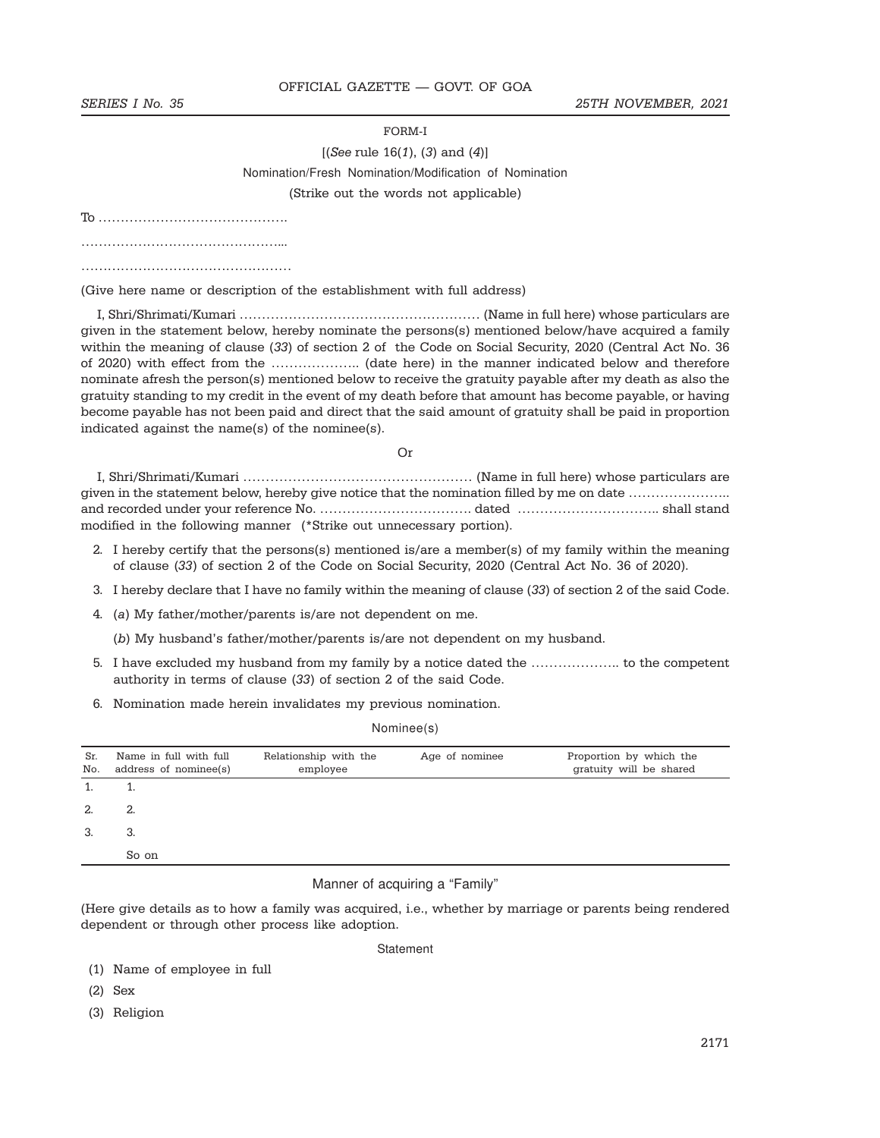FORM-I

# $[(See rule 16(1), (3) and (4)]$ Nomination/Fresh Nomination/Modification of Nomination (Strike out the words not applicable)

To …………………………………….

…………………………………………………

…………………………………………

(Give here name or description of the establishment with full address)

I, Shri/Shrimati/Kumari ……………………………………………… (Name in full here) whose particulars are given in the statement below, hereby nominate the persons(s) mentioned below/have acquired a family within the meaning of clause (33) of section 2 of the Code on Social Security, 2020 (Central Act No. 36 of 2020) with effect from the ……………….. (date here) in the manner indicated below and therefore nominate afresh the person(s) mentioned below to receive the gratuity payable after my death as also the gratuity standing to my credit in the event of my death before that amount has become payable, or having become payable has not been paid and direct that the said amount of gratuity shall be paid in proportion indicated against the name(s) of the nominee(s).

Or

| given in the statement below, hereby give notice that the nomination filled by me on date |  |
|-------------------------------------------------------------------------------------------|--|
|                                                                                           |  |
| modified in the following manner (*Strike out unnecessary portion).                       |  |

- 2. I hereby certify that the persons(s) mentioned is/are a member(s) of my family within the meaning of clause (33) of section 2 of the Code on Social Security, 2020 (Central Act No. 36 of 2020).
- 3. I hereby declare that I have no family within the meaning of clause (33) of section 2 of the said Code.
- 4. (a) My father/mother/parents is/are not dependent on me.

(b) My husband's father/mother/parents is/are not dependent on my husband.

- 5. I have excluded my husband from my family by a notice dated the ……………….. to the competent authority in terms of clause (33) of section 2 of the said Code.
- 6. Nomination made herein invalidates my previous nomination.

#### Nominee(s)

| Sr.<br>No. | Name in full with full<br>address of nominee(s) | Relationship with the<br>employee | Age of nominee | Proportion by which the<br>gratuity will be shared |
|------------|-------------------------------------------------|-----------------------------------|----------------|----------------------------------------------------|
|            |                                                 |                                   |                |                                                    |
| 2.         | 2.                                              |                                   |                |                                                    |
| 3.         | 3.                                              |                                   |                |                                                    |
|            | So on                                           |                                   |                |                                                    |

#### Manner of acquiring a "Family"

(Here give details as to how a family was acquired, i.e., whether by marriage or parents being rendered dependent or through other process like adoption.

**Statement** 

- (1) Name of employee in full
- (2) Sex
- (3) Religion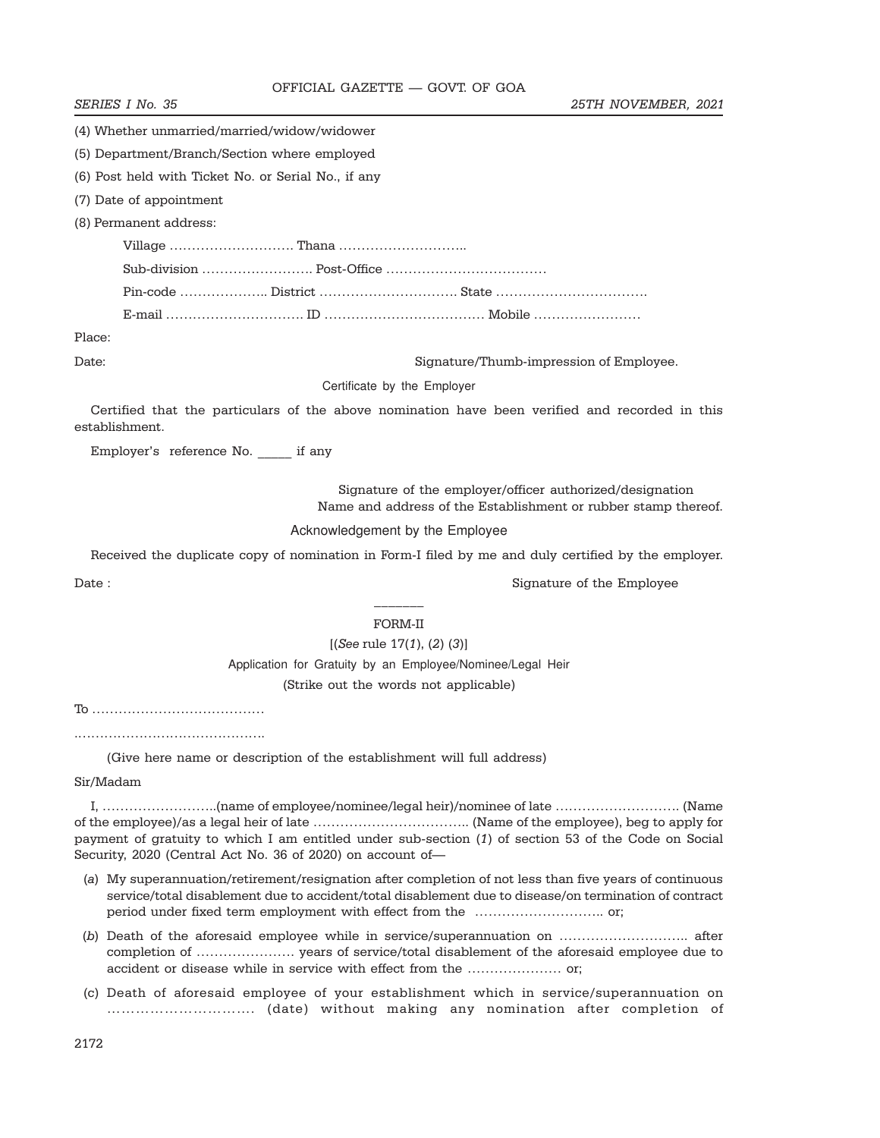SERIES I No. 35 25TH NOVEMBER, 2021

|  | (4) Whether unmarried/married/widow/widower |  |  |
|--|---------------------------------------------|--|--|

(5) Department/Branch/Section where employed

(6) Post held with Ticket No. or Serial No., if any

(7) Date of appointment

(8) Permanent address:

Village ………………………. Thana ……………………….. Sub-division ……………………. Post-Office ……………………………… Pin-code ……………….. District …………………………. State ……………………………. E-mail …………………………. ID ……………………………… Mobile ……………………

Place:

Date: Signature/Thumb-impression of Employee.

Certificate by the Employer

Certified that the particulars of the above nomination have been verified and recorded in this establishment.

Employer's reference No. \_\_\_\_\_ if any

 Signature of the employer/officer authorized/designation Name and address of the Establishment or rubber stamp thereof.

Acknowledgement by the Employee

Received the duplicate copy of nomination in Form-I filed by me and duly certified by the employer.

Date : Signature of the Employee  $\sim$  Signature of the Employee

# $\overline{\phantom{a}}$ FORM-II

 $[(See rule 17(1), (2), (3)]$ 

Application for Gratuity by an Employee/Nominee/Legal Heir (Strike out the words not applicable)

To …………………………………

.…………………………………….

(Give here name or description of the establishment will full address)

Sir/Madam

I, ……………………..(name of employee/nominee/legal heir)/nominee of late ………………………. (Name of the employee)/as a legal heir of late …………………………….. (Name of the employee), beg to apply for payment of gratuity to which I am entitled under sub-section (1) of section 53 of the Code on Social Security, 2020 (Central Act No. 36 of 2020) on account of—

- (a) My superannuation/retirement/resignation after completion of not less than five years of continuous service/total disablement due to accident/total disablement due to disease/on termination of contract period under fixed term employment with effect from the ……………………….. or;
- (b) Death of the aforesaid employee while in service/superannuation on ……………………….. after completion of …………………. years of service/total disablement of the aforesaid employee due to accident or disease while in service with effect from the ………………… or;
- (c) Death of aforesaid employee of your establishment which in service/superannuation on …………………………. (date) without making any nomination after completion of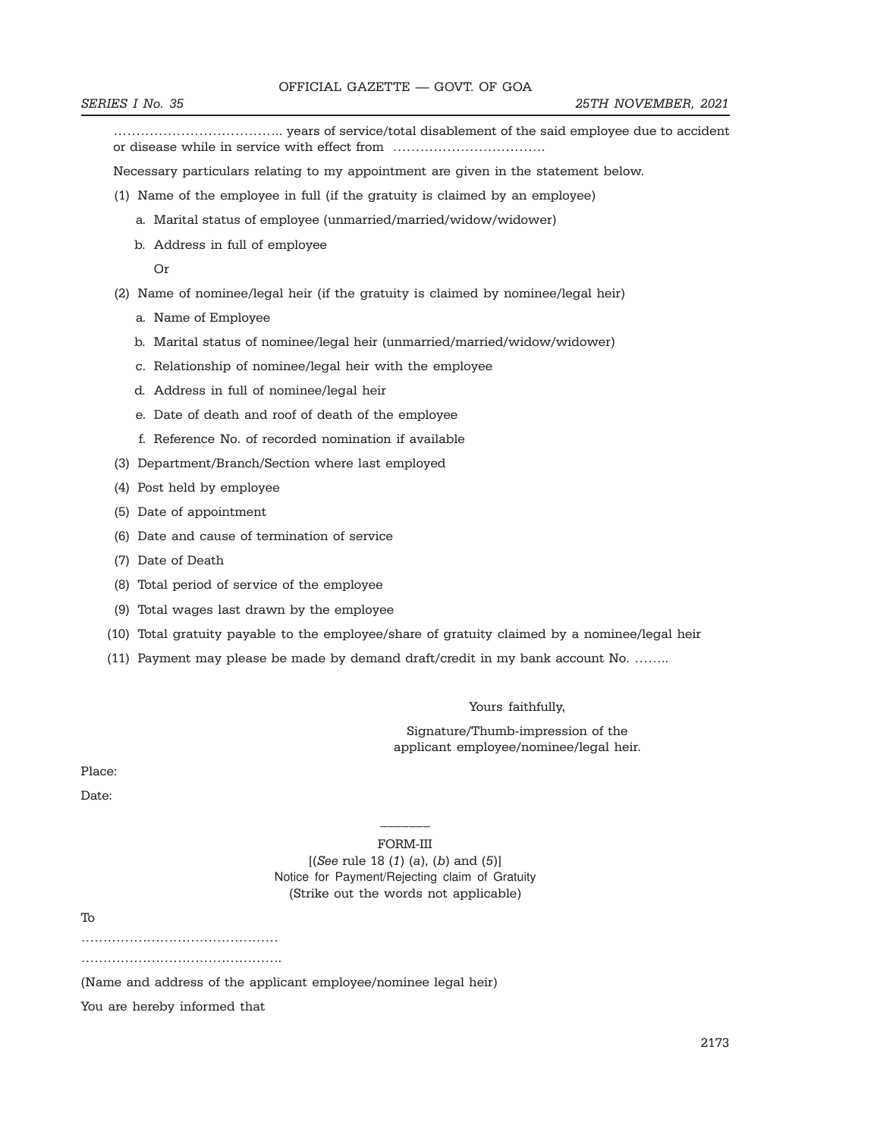……………………………….. years of service/total disablement of the said employee due to accident or disease while in service with effect from …………………………….

Necessary particulars relating to my appointment are given in the statement below.

- (1) Name of the employee in full (if the gratuity is claimed by an employee)
	- a. Marital status of employee (unmarried/married/widow/widower)
	- b. Address in full of employee

Or

- (2) Name of nominee/legal heir (if the gratuity is claimed by nominee/legal heir)
	- a. Name of Employee
	- b. Marital status of nominee/legal heir (unmarried/married/widow/widower)
	- c. Relationship of nominee/legal heir with the employee
	- d. Address in full of nominee/legal heir
	- e. Date of death and roof of death of the employee
	- f. Reference No. of recorded nomination if available
- (3) Department/Branch/Section where last employed
- (4) Post held by employee
- (5) Date of appointment
- (6) Date and cause of termination of service
- (7) Date of Death
- (8) Total period of service of the employee
- (9) Total wages last drawn by the employee
- (10) Total gratuity payable to the employee/share of gratuity claimed by a nominee/legal heir
- (11) Payment may please be made by demand draft/credit in my bank account No. ……..

Yours faithfully,

Signature/Thumb-impression of the applicant employee/nominee/legal heir.

Place:

Date:

 $\overline{\phantom{a}}$ FORM-III

 $[(See rule 18 (1) (a), (b) and (5)]$ Notice for Payment/Rejecting claim of Gratuity (Strike out the words not applicable)

To

………………………………………

…………………………………………

(Name and address of the applicant employee/nominee legal heir)

You are hereby informed that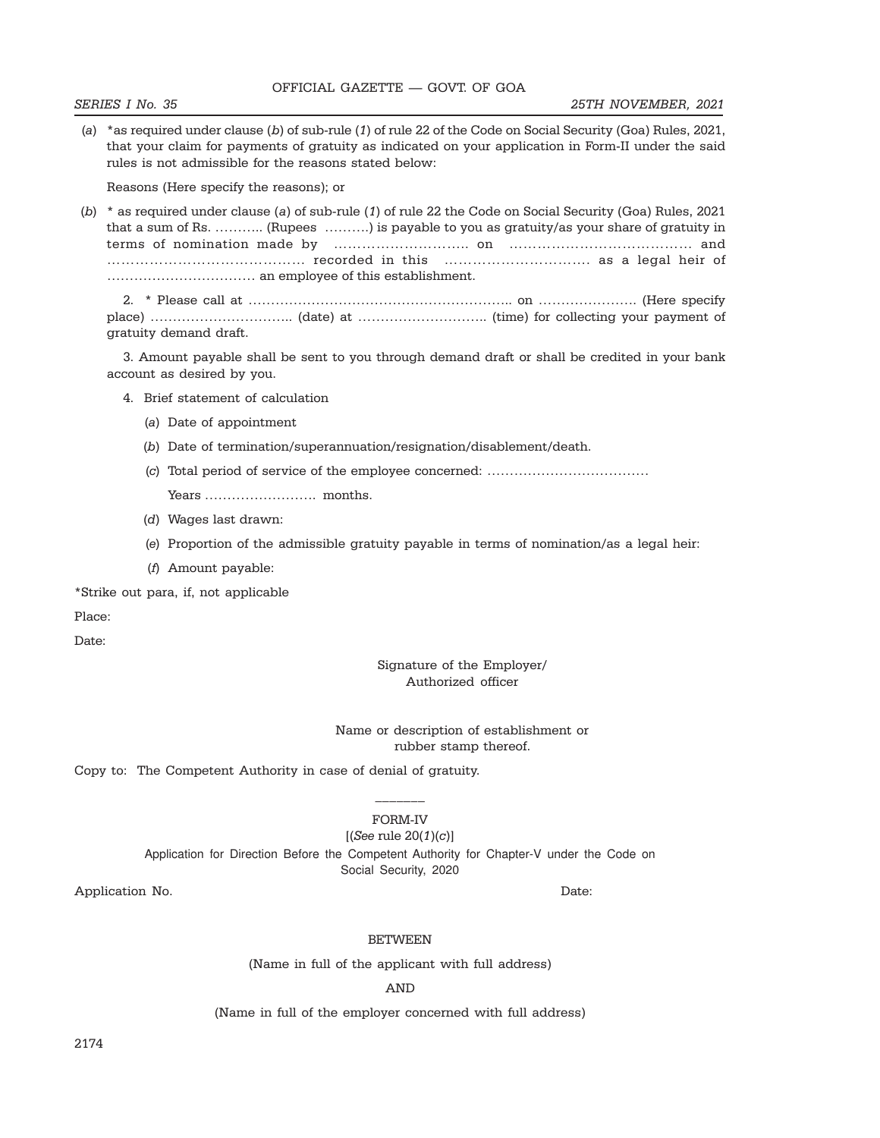(b) \* as required under clause (a) of sub-rule (1) of rule 22 the Code on Social Security (Goa) Rules, 2021 that a sum of Rs. ……….. (Rupees ……….) is payable to you as gratuity/as your share of gratuity in terms of nomination made by ……………………….. on ………………………………… and …………………………………… recorded in this …………………………. as a legal heir of …………………………… an employee of this establishment.

2. \* Please call at ………………………………………………….. on …………………. (Here specify place) ………………………….. (date) at ……………………….. (time) for collecting your payment of gratuity demand draft.

3. Amount payable shall be sent to you through demand draft or shall be credited in your bank account as desired by you.

4. Brief statement of calculation

Reasons (Here specify the reasons); or

- (a) Date of appointment
- (b) Date of termination/superannuation/resignation/disablement/death.
- (c) Total period of service of the employee concerned: ………………………………

Years ……………………. months.

rules is not admissible for the reasons stated below:

- (d) Wages last drawn:
- (e) Proportion of the admissible gratuity payable in terms of nomination/as a legal heir:
- (f) Amount payable:

\*Strike out para, if, not applicable

Place:

Date:

#### Signature of the Employer/ Authorized officer

### Name or description of establishment or rubber stamp thereof.

Copy to: The Competent Authority in case of denial of gratuity.

# $\overline{\phantom{a}}$ FORM-IV

 $[(See rule 20(1)(c)]$ Application for Direction Before the Competent Authority for Chapter-V under the Code on Social Security, 2020

Application No. Date:

#### BETWEEN

(Name in full of the applicant with full address)

AND

(Name in full of the employer concerned with full address)

## OFFICIAL GAZETTE — GOVT. OF GOA

(a) \*as required under clause (b) of sub-rule (1) of rule 22 of the Code on Social Security (Goa) Rules, 2021, that your claim for payments of gratuity as indicated on your application in Form-II under the said

#### SERIES I No. 35 25TH NOVEMBER, 2021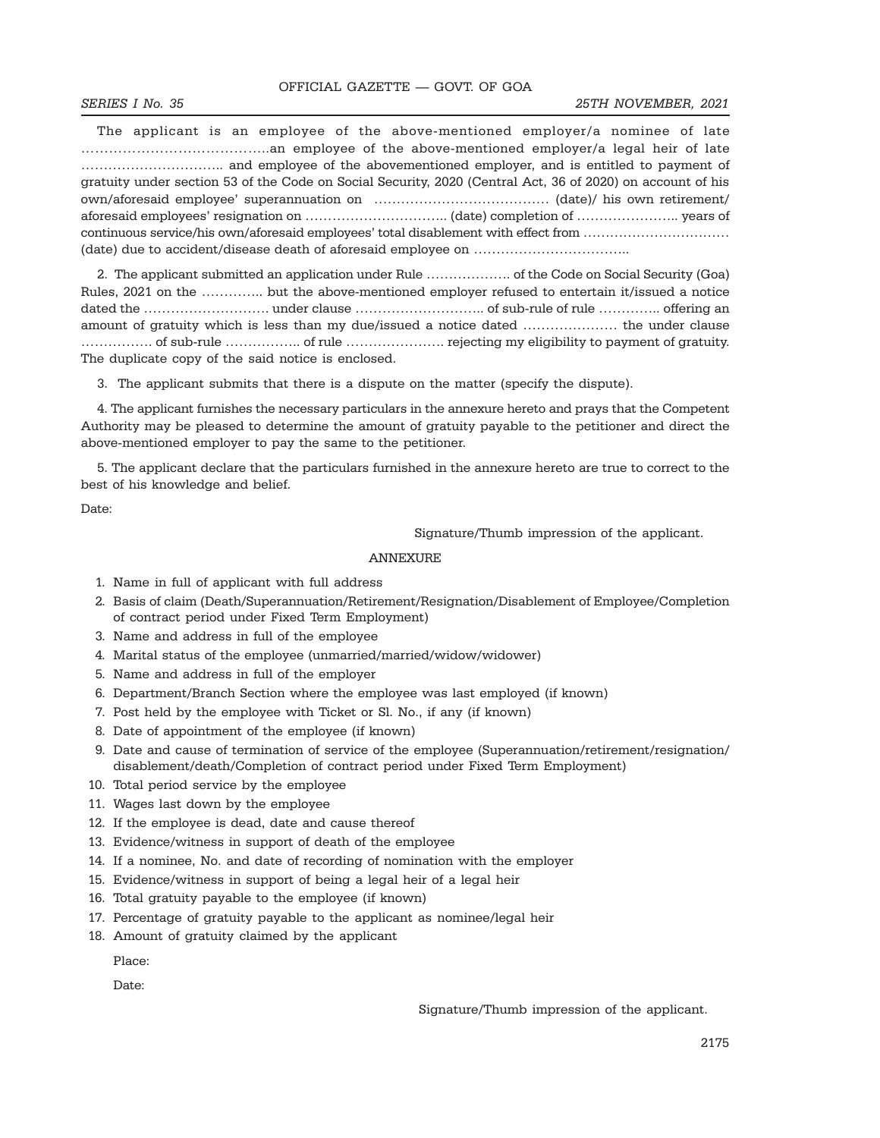#### SERIES I No. 35 25TH NOVEMBER, 2021

The applicant is an employee of the above-mentioned employer/a nominee of late …………………………………..an employee of the above-mentioned employer/a legal heir of late ………………………….. and employee of the abovementioned employer, and is entitled to payment of gratuity under section 53 of the Code on Social Security, 2020 (Central Act, 36 of 2020) on account of his own/aforesaid employee' superannuation on ………………………………… (date)/ his own retirement/ aforesaid employees' resignation on ………………………….. (date) completion of ………………….. years of continuous service/his own/aforesaid employees' total disablement with effect from …………………………… (date) due to accident/disease death of aforesaid employee on ……………………………..

2. The applicant submitted an application under Rule ………………. of the Code on Social Security (Goa) Rules, 2021 on the ………….. but the above-mentioned employer refused to entertain it/issued a notice dated the ………………………. under clause ……………………….. of sub-rule of rule ………….. offering an amount of gratuity which is less than my due/issued a notice dated ………………… the under clause ……………. of sub-rule …………….. of rule …………………. rejecting my eligibility to payment of gratuity. The duplicate copy of the said notice is enclosed.

3. The applicant submits that there is a dispute on the matter (specify the dispute).

4. The applicant furnishes the necessary particulars in the annexure hereto and prays that the Competent Authority may be pleased to determine the amount of gratuity payable to the petitioner and direct the above-mentioned employer to pay the same to the petitioner.

5. The applicant declare that the particulars furnished in the annexure hereto are true to correct to the best of his knowledge and belief.

Date:

Signature/Thumb impression of the applicant.

### ANNEXURE

- 1. Name in full of applicant with full address
- 2. Basis of claim (Death/Superannuation/Retirement/Resignation/Disablement of Employee/Completion of contract period under Fixed Term Employment)
- 3. Name and address in full of the employee
- 4. Marital status of the employee (unmarried/married/widow/widower)
- 5. Name and address in full of the employer
- 6. Department/Branch Section where the employee was last employed (if known)
- 7. Post held by the employee with Ticket or Sl. No., if any (if known)
- 8. Date of appointment of the employee (if known)
- 9. Date and cause of termination of service of the employee (Superannuation/retirement/resignation/ disablement/death/Completion of contract period under Fixed Term Employment)
- 10. Total period service by the employee
- 11. Wages last down by the employee
- 12. If the employee is dead, date and cause thereof
- 13. Evidence/witness in support of death of the employee
- 14. If a nominee, No. and date of recording of nomination with the employer
- 15. Evidence/witness in support of being a legal heir of a legal heir
- 16. Total gratuity payable to the employee (if known)
- 17. Percentage of gratuity payable to the applicant as nominee/legal heir
- 18. Amount of gratuity claimed by the applicant

Place:

Date:

Signature/Thumb impression of the applicant.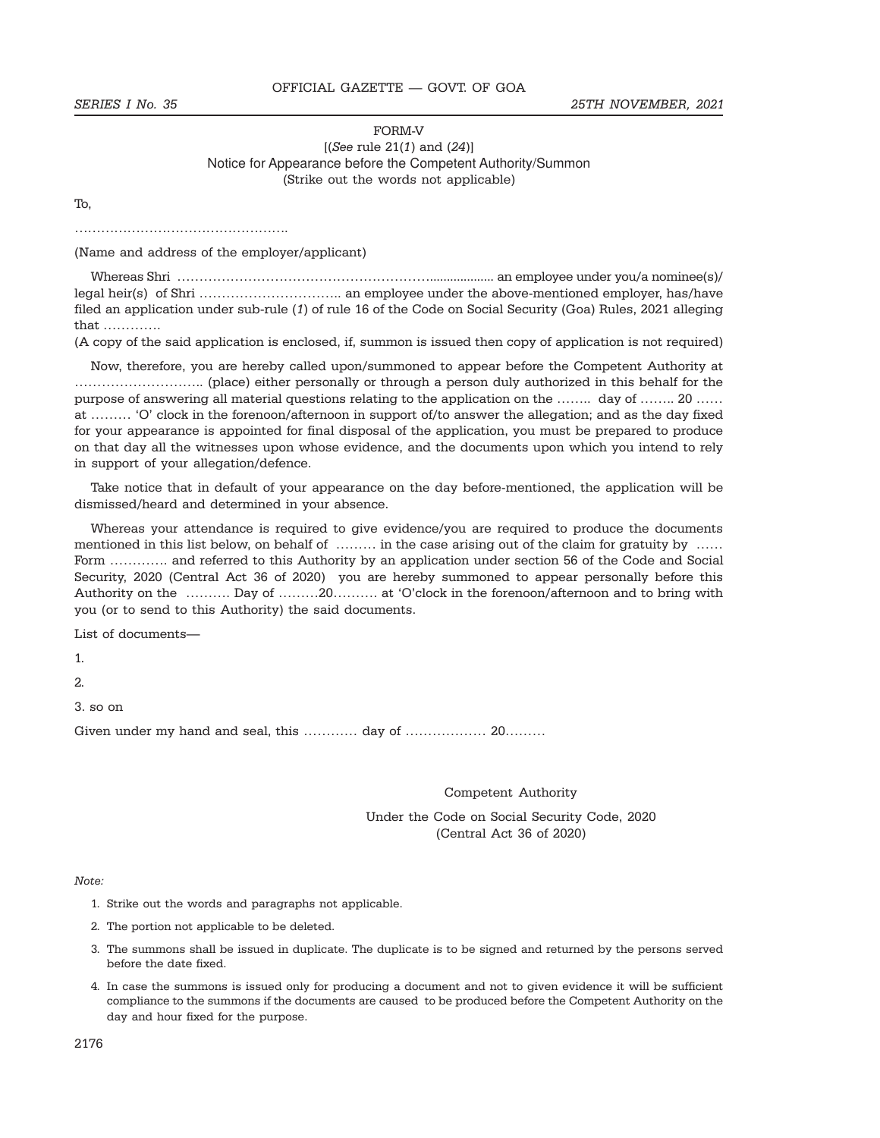### SERIES I No. 35 25TH NOVEMBER, 2021

## FORM-V  $[(See rule 21(1) and (24)]$ Notice for Appearance before the Competent Authority/Summon (Strike out the words not applicable)

To,

………………………………………….

(Name and address of the employer/applicant)

Whereas Shri …………………………………………………................... an employee under you/a nominee(s)/ legal heir(s) of Shri ………………………….. an employee under the above-mentioned employer, has/have filed an application under sub-rule (1) of rule 16 of the Code on Social Security (Goa) Rules, 2021 alleging that ………….

(A copy of the said application is enclosed, if, summon is issued then copy of application is not required)

Now, therefore, you are hereby called upon/summoned to appear before the Competent Authority at ……………………….. (place) either personally or through a person duly authorized in this behalf for the purpose of answering all material questions relating to the application on the …….. day of …….. 20 …… at ……… 'O' clock in the forenoon/afternoon in support of/to answer the allegation; and as the day fixed for your appearance is appointed for final disposal of the application, you must be prepared to produce on that day all the witnesses upon whose evidence, and the documents upon which you intend to rely in support of your allegation/defence.

Take notice that in default of your appearance on the day before-mentioned, the application will be dismissed/heard and determined in your absence.

Whereas your attendance is required to give evidence/you are required to produce the documents mentioned in this list below, on behalf of ……… in the case arising out of the claim for gratuity by …… Form …………. and referred to this Authority by an application under section 56 of the Code and Social Security, 2020 (Central Act 36 of 2020) you are hereby summoned to appear personally before this Authority on the ………. Day of ………20………. at 'O'clock in the forenoon/afternoon and to bring with you (or to send to this Authority) the said documents.

List of documents—

1.

2.

3. so on

Given under my hand and seal, this ………… day of ……………… 20………

Competent Authority

Under the Code on Social Security Code, 2020 (Central Act 36 of 2020)

Note:

- 1. Strike out the words and paragraphs not applicable.
- 2. The portion not applicable to be deleted.
- 3. The summons shall be issued in duplicate. The duplicate is to be signed and returned by the persons served before the date fixed.
- 4. In case the summons is issued only for producing a document and not to given evidence it will be sufficient compliance to the summons if the documents are caused to be produced before the Competent Authority on the day and hour fixed for the purpose.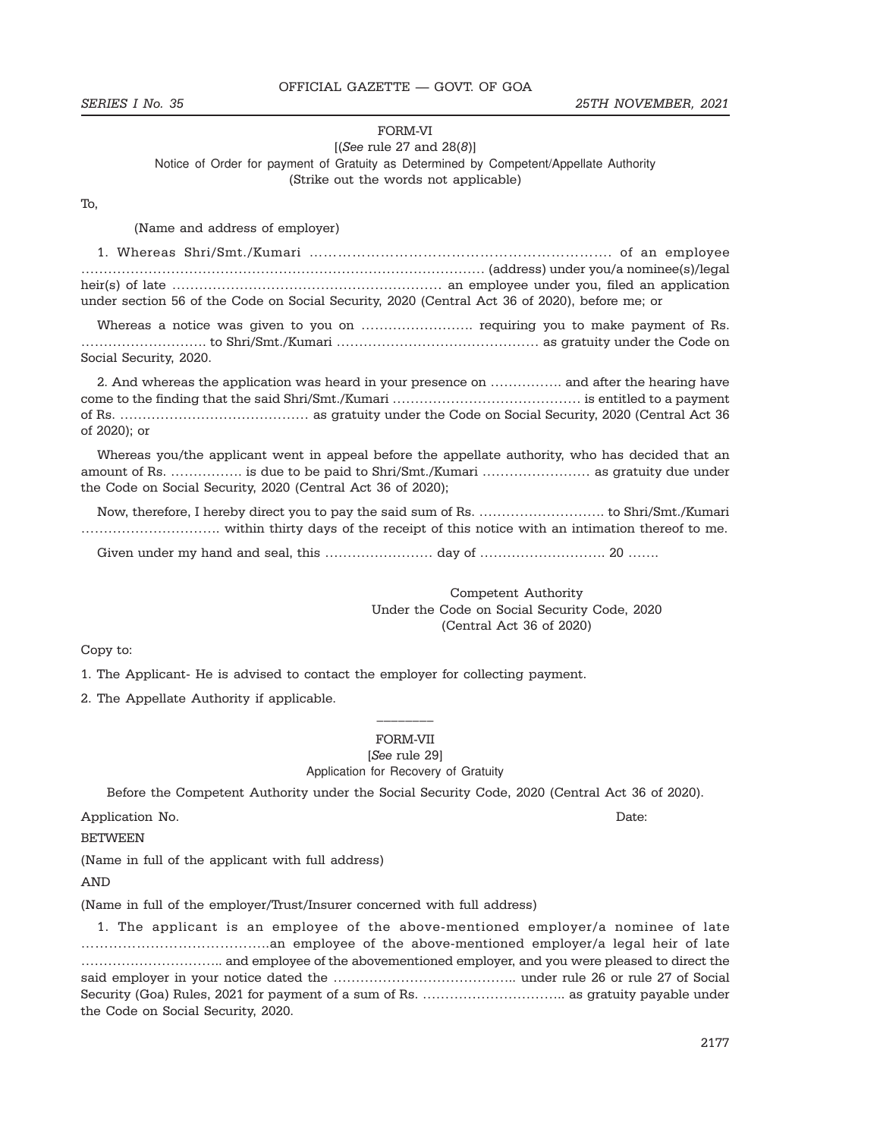#### FORM-VI

### $[(See rule 27 and 28(8)]$ Notice of Order for payment of Gratuity as Determined by Competent/Appellate Authority (Strike out the words not applicable)

### To,

(Name and address of employer)

| (address) under you/a nominee(s)/legal intervals and continuum control of the control of the control of the control of the control of the control of the control of the control of the control of the control of the control o |  |
|--------------------------------------------------------------------------------------------------------------------------------------------------------------------------------------------------------------------------------|--|
|                                                                                                                                                                                                                                |  |
| under section 56 of the Code on Social Security, 2020 (Central Act 36 of 2020), before me; or                                                                                                                                  |  |

Whereas a notice was given to you on ……………………. requiring you to make payment of Rs. ………………………. to Shri/Smt./Kumari ……………………………………… as gratuity under the Code on Social Security, 2020.

2. And whereas the application was heard in your presence on ……………. and after the hearing have come to the finding that the said Shri/Smt./Kumari …………………………………… is entitled to a payment of Rs. …………………………………… as gratuity under the Code on Social Security, 2020 (Central Act 36 of 2020); or

Whereas you/the applicant went in appeal before the appellate authority, who has decided that an amount of Rs. ……………. is due to be paid to Shri/Smt./Kumari …………………… as gratuity due under the Code on Social Security, 2020 (Central Act 36 of 2020);

Now, therefore, I hereby direct you to pay the said sum of Rs. ………………………. to Shri/Smt./Kumari …………………………. within thirty days of the receipt of this notice with an intimation thereof to me.

Given under my hand and seal, this …………………… day of ………………………. 20 …….

Competent Authority Under the Code on Social Security Code, 2020 (Central Act 36 of 2020)

### Copy to:

1. The Applicant- He is advised to contact the employer for collecting payment.

2. The Appellate Authority if applicable.

# $\frac{1}{2}$ FORM-VII

[See rule 29]

Application for Recovery of Gratuity

Before the Competent Authority under the Social Security Code, 2020 (Central Act 36 of 2020).

Application No. Date:

BETWEEN

(Name in full of the applicant with full address)

AND

(Name in full of the employer/Trust/Insurer concerned with full address)

1. The applicant is an employee of the above-mentioned employer/a nominee of late …………………………………..an employee of the above-mentioned employer/a legal heir of late ………………………….. and employee of the abovementioned employer, and you were pleased to direct the said employer in your notice dated the ………………………………….. under rule 26 or rule 27 of Social Security (Goa) Rules, 2021 for payment of a sum of Rs. ………………………….. as gratuity payable under the Code on Social Security, 2020.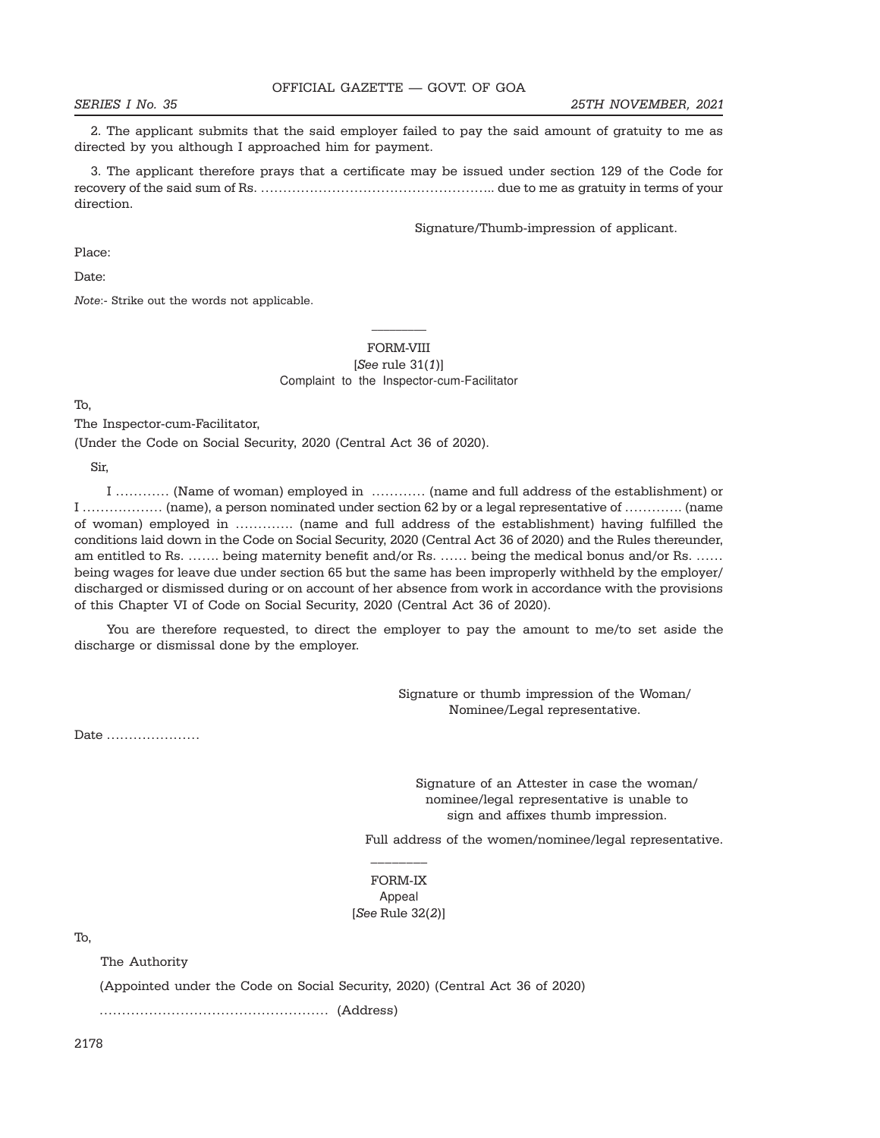2. The applicant submits that the said employer failed to pay the said amount of gratuity to me as directed by you although I approached him for payment.

3. The applicant therefore prays that a certificate may be issued under section 129 of the Code for recovery of the said sum of Rs. …………………………………………….. due to me as gratuity in terms of your direction.

Signature/Thumb-impression of applicant.

Place:

Date:

Note:- Strike out the words not applicable.

## FORM-VIII  $[See rule 31(1)]$ Complaint to the Inspector-cum-Facilitator

To,

The Inspector-cum-Facilitator,

(Under the Code on Social Security, 2020 (Central Act 36 of 2020).

Sir,

I ………… (Name of woman) employed in ………… (name and full address of the establishment) or I ……………… (name), a person nominated under section 62 by or a legal representative of …………. (name of woman) employed in …………. (name and full address of the establishment) having fulfilled the conditions laid down in the Code on Social Security, 2020 (Central Act 36 of 2020) and the Rules thereunder, am entitled to Rs. ……. being maternity benefit and/or Rs. …… being the medical bonus and/or Rs. …… being wages for leave due under section 65 but the same has been improperly withheld by the employer/ discharged or dismissed during or on account of her absence from work in accordance with the provisions of this Chapter VI of Code on Social Security, 2020 (Central Act 36 of 2020).

You are therefore requested, to direct the employer to pay the amount to me/to set aside the discharge or dismissal done by the employer.

> Signature or thumb impression of the Woman/ Nominee/Legal representative.

Date …………………

Signature of an Attester in case the woman/ nominee/legal representative is unable to sign and affixes thumb impression.

Full address of the women/nominee/legal representative.

FORM-IX Appeal [See Rule 32(2)]

\_\_\_\_\_\_\_\_

To,

The Authority

(Appointed under the Code on Social Security, 2020) (Central Act 36 of 2020)

…………………………………………… (Address)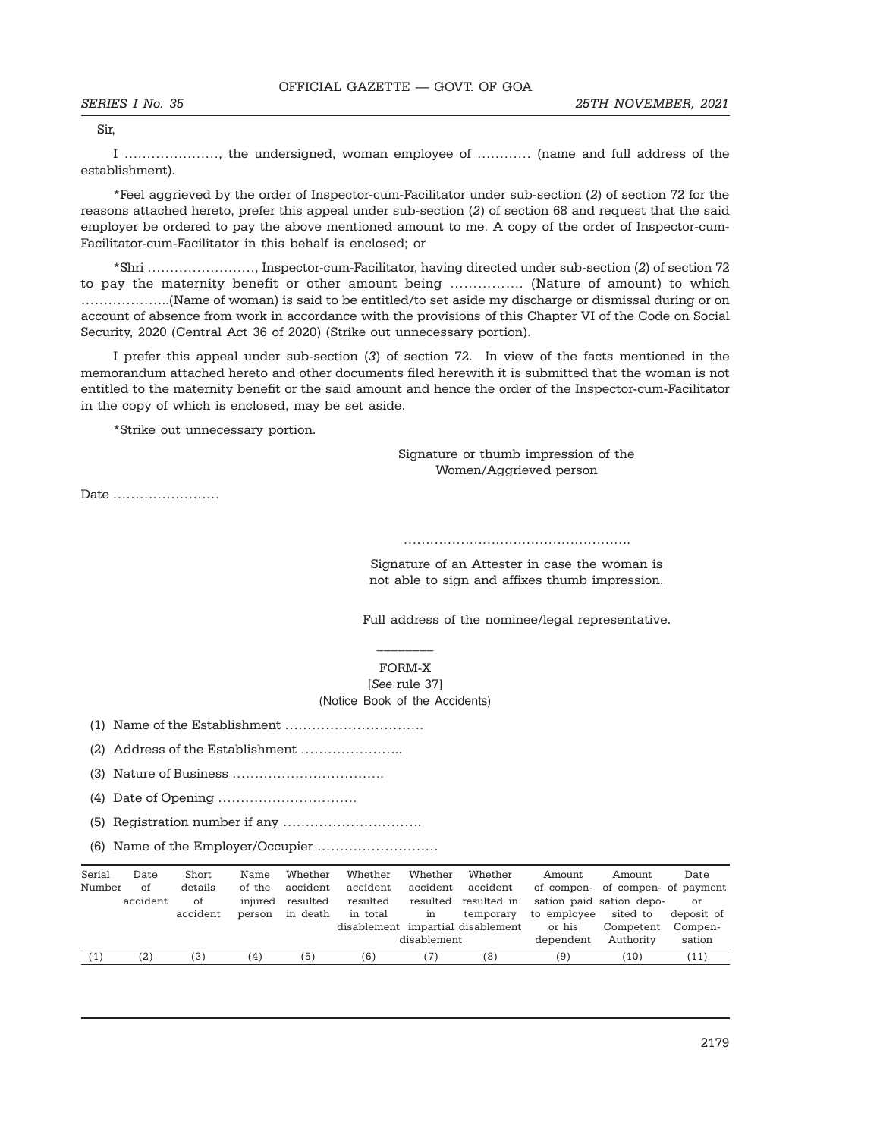Sir,

I …………………, the undersigned, woman employee of ………… (name and full address of the establishment).

\*Feel aggrieved by the order of Inspector-cum-Facilitator under sub-section (2) of section 72 for the reasons attached hereto, prefer this appeal under sub-section (2) of section 68 and request that the said employer be ordered to pay the above mentioned amount to me. A copy of the order of Inspector-cum-Facilitator-cum-Facilitator in this behalf is enclosed; or

\*Shri ……………………, Inspector-cum-Facilitator, having directed under sub-section (2) of section 72 to pay the maternity benefit or other amount being ……………. (Nature of amount) to which ………………..(Name of woman) is said to be entitled/to set aside my discharge or dismissal during or on account of absence from work in accordance with the provisions of this Chapter VI of the Code on Social Security, 2020 (Central Act 36 of 2020) (Strike out unnecessary portion).

I prefer this appeal under sub-section (3) of section 72. In view of the facts mentioned in the memorandum attached hereto and other documents filed herewith it is submitted that the woman is not entitled to the maternity benefit or the said amount and hence the order of the Inspector-cum-Facilitator in the copy of which is enclosed, may be set aside.

\*Strike out unnecessary portion.

Signature or thumb impression of the Women/Aggrieved person

Date ……………………

…………………………………………….

Signature of an Attester in case the woman is not able to sign and affixes thumb impression.

Full address of the nominee/legal representative.

FORM-X [See rule 37] (Notice Book of the Accidents)

\_\_\_\_\_\_\_\_

(1) Name of the Establishment ………………………….

(2) Address of the Establishment …………………..

(3) Nature of Business …………………………….

(4) Date of Opening ………………………….

(5) Registration number if any ………………………….

(6) Name of the Employer/Occupier ………………………

| Serial | Date     | Short    | Name    | Whether  | Whether  | Whether     | Whether                           | Amount      | Amount                           | Date       |
|--------|----------|----------|---------|----------|----------|-------------|-----------------------------------|-------------|----------------------------------|------------|
| Number | of       | details  | of the  | accident | accident | accident    | accident                          |             | of compen- of compen- of payment |            |
|        | accident | of       | injured | resulted | resulted |             | resulted resulted in              |             | sation paid sation depo-         | or         |
|        |          | accident | person  | in death | in total | in          | temporary                         | to employee | sited to                         | deposit of |
|        |          |          |         |          |          |             | disablement impartial disablement | or his      | Competent                        | Compen-    |
|        |          |          |         |          |          | disablement |                                   | dependent   | Authority                        | sation     |
| 〔1〕    | (2)      | (3)      | (4)     | (5)      | (6)      | (7, 7)      | (8)                               | (9)         | (10                              | 11)        |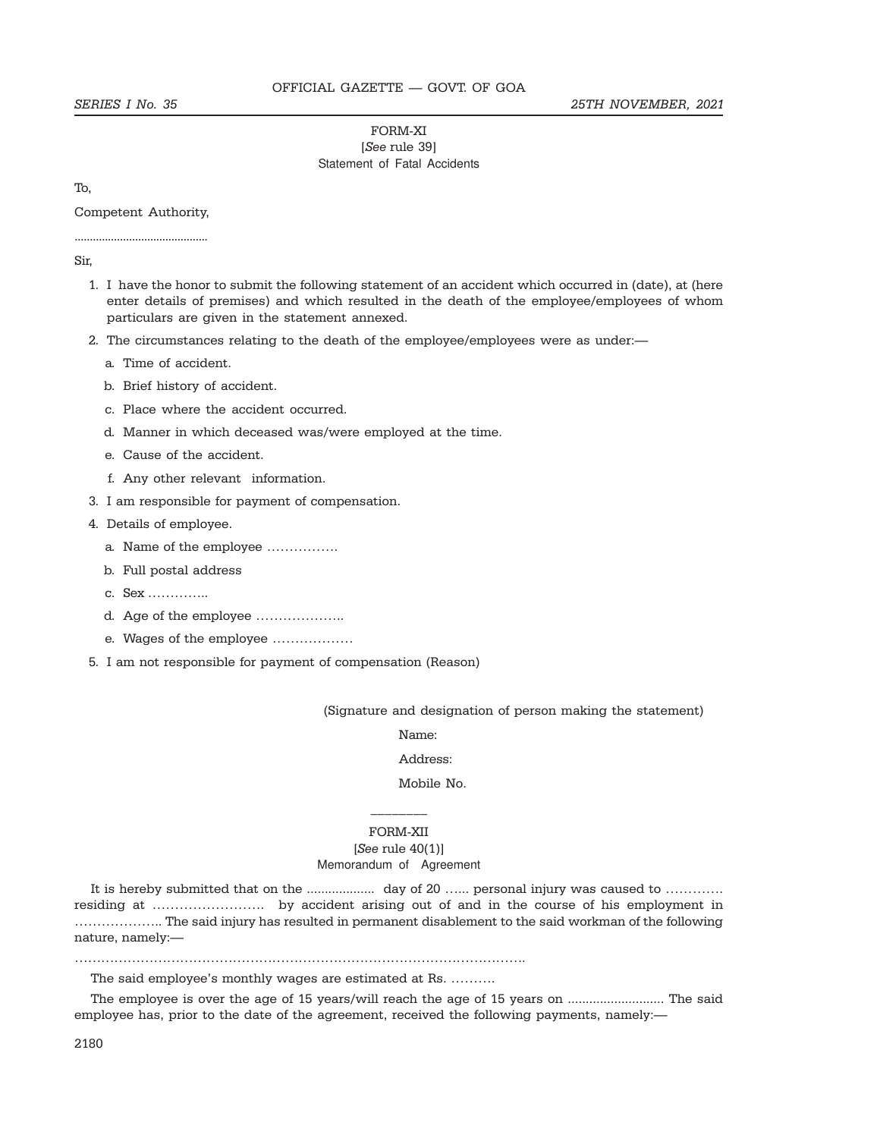### FORM-XI [See rule 39] Statement of Fatal Accidents

To,

Competent Authority, ............................................

#### Sir,

- 1. I have the honor to submit the following statement of an accident which occurred in (date), at (here enter details of premises) and which resulted in the death of the employee/employees of whom particulars are given in the statement annexed.
- 2. The circumstances relating to the death of the employee/employees were as under:
	- a. Time of accident.
	- b. Brief history of accident.
	- c. Place where the accident occurred.
	- d. Manner in which deceased was/were employed at the time.
	- e. Cause of the accident.
	- f. Any other relevant information.
- 3. I am responsible for payment of compensation.
- 4. Details of employee.
	- a. Name of the employee …………….
	- b. Full postal address
	- c. Sex …………..
	- d. Age of the employee ………………..
	- e. Wages of the employee ………………
- 5. I am not responsible for payment of compensation (Reason)

(Signature and designation of person making the statement)

Name:

## Address:

## Mobile No.

# \_\_\_\_\_\_\_\_ FORM-XII

### $[See rule 40(1)]$ Memorandum of Agreement

It is hereby submitted that on the ................... day of 20 …... personal injury was caused to …………. residing at ……………………. by accident arising out of and in the course of his employment in ……………….. The said injury has resulted in permanent disablement to the said workman of the following nature, namely:—

………………………………………………………………………………………….

The said employee's monthly wages are estimated at Rs. ……….

The employee is over the age of 15 years/will reach the age of 15 years on ........................... The said employee has, prior to the date of the agreement, received the following payments, namely:—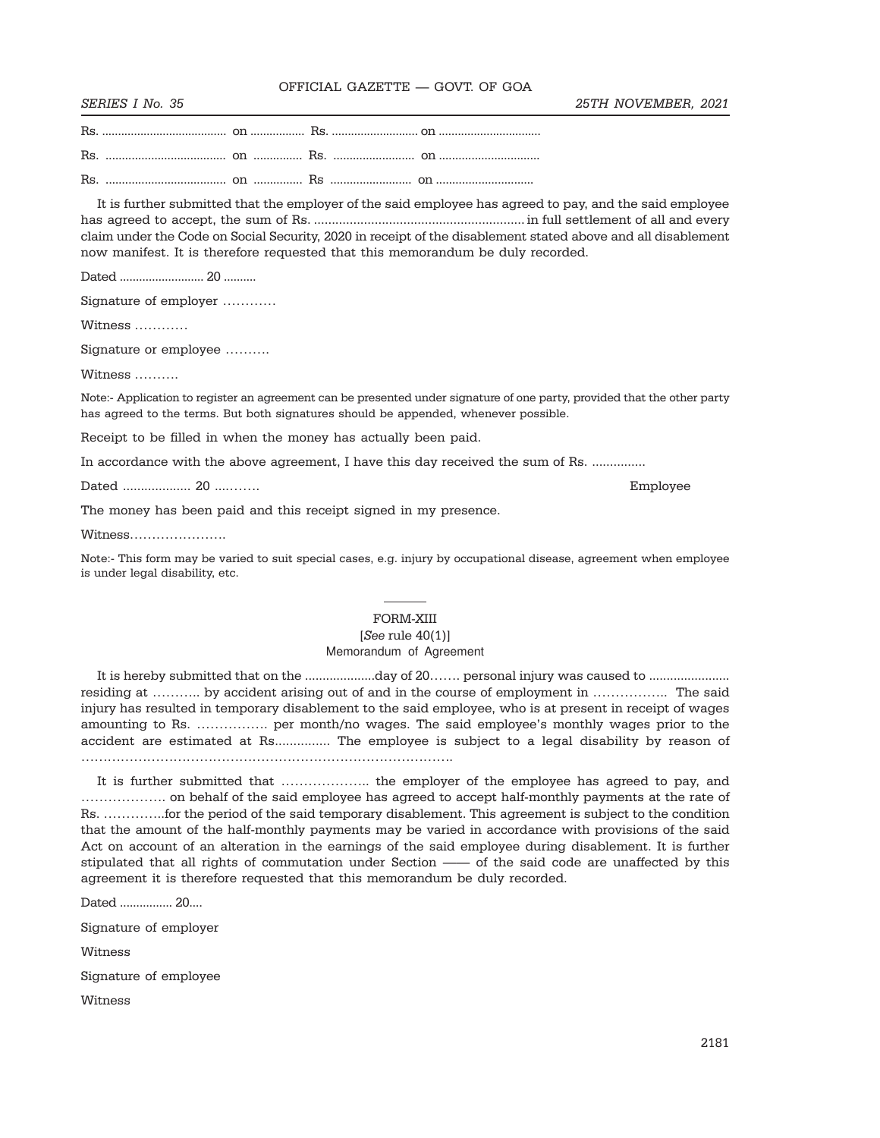It is further submitted that the employer of the said employee has agreed to pay, and the said employee has agreed to accept, the sum of Rs. ........................................................... in full settlement of all and every claim under the Code on Social Security, 2020 in receipt of the disablement stated above and all disablement now manifest. It is therefore requested that this memorandum be duly recorded.

Dated .......................... 20 ..........

Signature of employer …………

Witness …………

Signature or employee ……….

Witness ……….

Note:- Application to register an agreement can be presented under signature of one party, provided that the other party has agreed to the terms. But both signatures should be appended, whenever possible.

Receipt to be filled in when the money has actually been paid.

In accordance with the above agreement, I have this day received the sum of Rs. ..............

Dated ................... 20 ....……. Employee

The money has been paid and this receipt signed in my presence.

Witness………………….

Note:- This form may be varied to suit special cases, e.g. injury by occupational disease, agreement when employee is under legal disability, etc.

 $\overline{\phantom{a}}$ 

# FORM-XIII  $[See rule 40(1)]$

#### Memorandum of Agreement

It is hereby submitted that on the ....................day of 20……. personal injury was caused to ....................... residing at ……….. by accident arising out of and in the course of employment in …………….. The said injury has resulted in temporary disablement to the said employee, who is at present in receipt of wages amounting to Rs. ……………. per month/no wages. The said employee's monthly wages prior to the accident are estimated at Rs............... The employee is subject to a legal disability by reason of ………………………………………………………………………….

It is further submitted that ………………….. the employer of the employee has agreed to pay, and ………………. on behalf of the said employee has agreed to accept half-monthly payments at the rate of Rs. …………..for the period of the said temporary disablement. This agreement is subject to the condition that the amount of the half-monthly payments may be varied in accordance with provisions of the said Act on account of an alteration in the earnings of the said employee during disablement. It is further stipulated that all rights of commutation under Section —— of the said code are unaffected by this agreement it is therefore requested that this memorandum be duly recorded.

Dated ................ 20....

Signature of employer

Witness

Signature of employee

Witness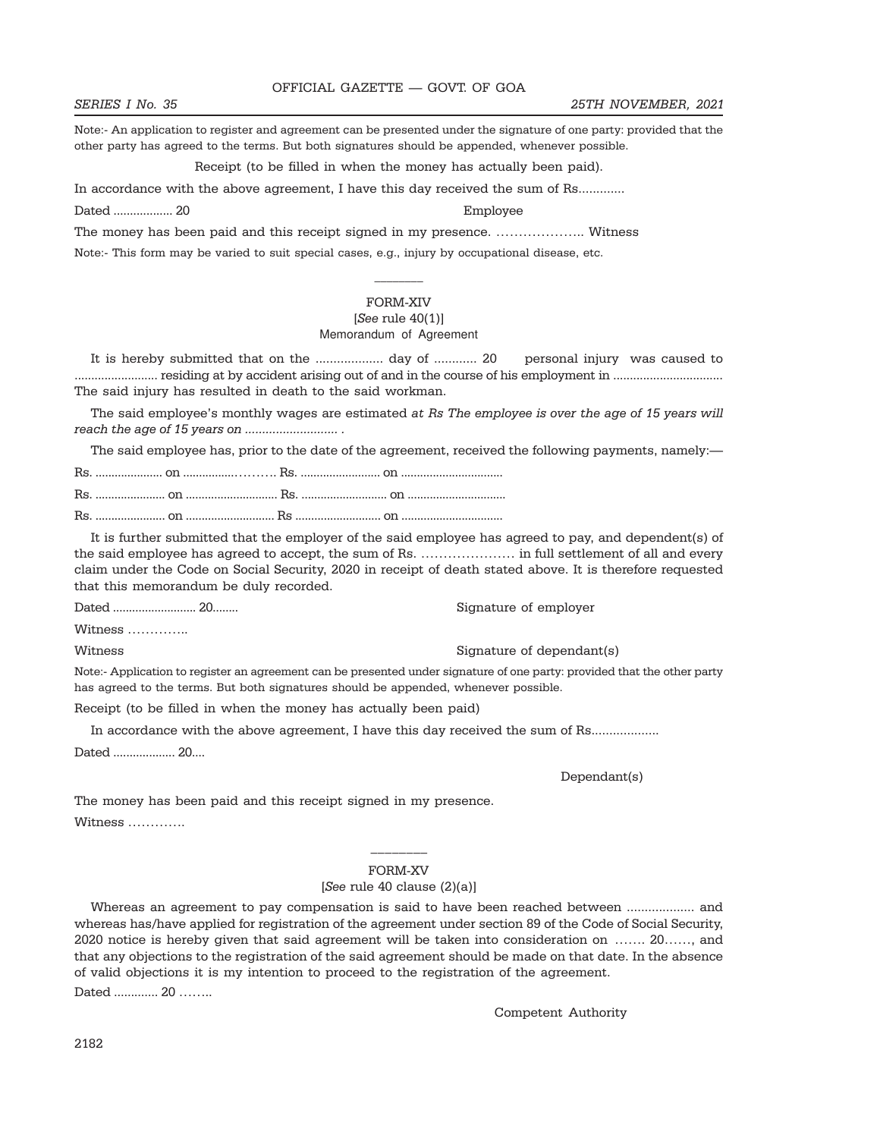# SERIES I No. 35 25TH NOVEMBER, 2021

Note:- An application to register and agreement can be presented under the signature of one party: provided that the other party has agreed to the terms. But both signatures should be appended, whenever possible.

Receipt (to be filled in when the money has actually been paid).

In accordance with the above agreement, I have this day received the sum of Rs.............

Dated .................. 20 Employee

The money has been paid and this receipt signed in my presence. ……………….. Witness Note:- This form may be varied to suit special cases, e.g., injury by occupational disease, etc.

### FORM-XIV

# $[See rule 40(1)]$

## Memorandum of Agreement

It is hereby submitted that on the ................... day of ............ 20 personal injury was caused to ......................... residing at by accident arising out of and in the course of his employment in ................................. The said injury has resulted in death to the said workman.

The said employee's monthly wages are estimated at Rs The employee is over the age of 15 years will reach the age of 15 years on ........................... .

The said employee has, prior to the date of the agreement, received the following payments, namely:—

It is further submitted that the employer of the said employee has agreed to pay, and dependent(s) of the said employee has agreed to accept, the sum of Rs. ………………… in full settlement of all and every claim under the Code on Social Security, 2020 in receipt of death stated above. It is therefore requested that this memorandum be duly recorded.

Dated .......................... 20........ Signature of employer

Witness …………..

Note:- Application to register an agreement can be presented under signature of one party: provided that the other party has agreed to the terms. But both signatures should be appended, whenever possible.

Receipt (to be filled in when the money has actually been paid)

In accordance with the above agreement, I have this day received the sum of Rs...................

Dated ................... 20....

Dependant(s)

The money has been paid and this receipt signed in my presence.

Witness ………….

# \_\_\_\_\_\_\_\_ FORM-XV

#### [See rule 40 clause (2)(a)]

Whereas an agreement to pay compensation is said to have been reached between ................... and whereas has/have applied for registration of the agreement under section 89 of the Code of Social Security, 2020 notice is hereby given that said agreement will be taken into consideration on ……. 20……, and that any objections to the registration of the said agreement should be made on that date. In the absence of valid objections it is my intention to proceed to the registration of the agreement.

Dated ............. 20 .........

Competent Authority

Witness Signature of dependant(s)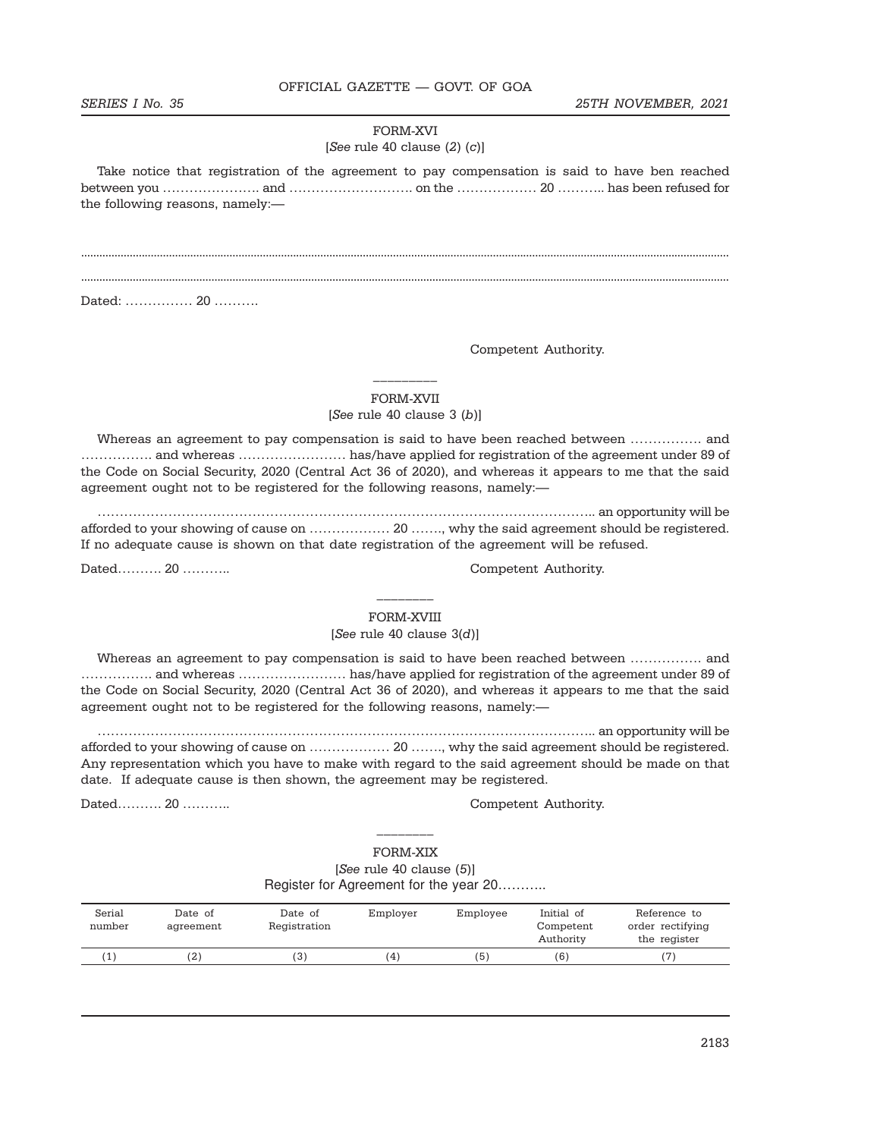#### FORM-XVI

### [See rule 40 clause  $(2)$   $(c)$ ]

Take notice that registration of the agreement to pay compensation is said to have ben reached between you …………………. and ………………………. on the ……………… 20 ……….. has been refused for the following reasons, namely:—

...................................................................................................................................................................................................................... ......................................................................................................................................................................................................................

Dated: …………… 20 ……….

Competent Authority.

FORM-XVII [See rule 40 clause  $3(b)$ ]

 $\frac{1}{2}$  ,  $\frac{1}{2}$  ,  $\frac{1}{2}$  ,  $\frac{1}{2}$  ,  $\frac{1}{2}$ 

Whereas an agreement to pay compensation is said to have been reached between ……………. and ……………. and whereas …………………… has/have applied for registration of the agreement under 89 of the Code on Social Security, 2020 (Central Act 36 of 2020), and whereas it appears to me that the said agreement ought not to be registered for the following reasons, namely:—

………………………………………………………………………………………………….. an opportunity will be afforded to your showing of cause on ……………… 20 ……., why the said agreement should be registered. If no adequate cause is shown on that date registration of the agreement will be refused.

Dated………. 20 ……….. Competent Authority.

FORM-XVIII [See rule 40 clause  $3(d)$ ]

\_\_\_\_\_\_\_\_

Whereas an agreement to pay compensation is said to have been reached between ……………. and ……………. and whereas …………………… has/have applied for registration of the agreement under 89 of the Code on Social Security, 2020 (Central Act 36 of 2020), and whereas it appears to me that the said agreement ought not to be registered for the following reasons, namely:—

………………………………………………………………………………………………….. an opportunity will be afforded to your showing of cause on ……………… 20 ……., why the said agreement should be registered. Any representation which you have to make with regard to the said agreement should be made on that date. If adequate cause is then shown, the agreement may be registered.

Dated………. 20 ……….. Competent Authority.

FORM-XIX [See rule 40 clause (5)] Register for Agreement for the year 20………..

\_\_\_\_\_\_\_\_

| Serial<br>number | Date of<br>agreement | Date of<br>Registration | Employer | Employee | Initial of<br>Competent<br>Authority | Reference to<br>order rectifying<br>the register |
|------------------|----------------------|-------------------------|----------|----------|--------------------------------------|--------------------------------------------------|
|                  | (2)                  | (3)                     | (4)      | (5)      | (6)                                  | $^{\prime}$ 7                                    |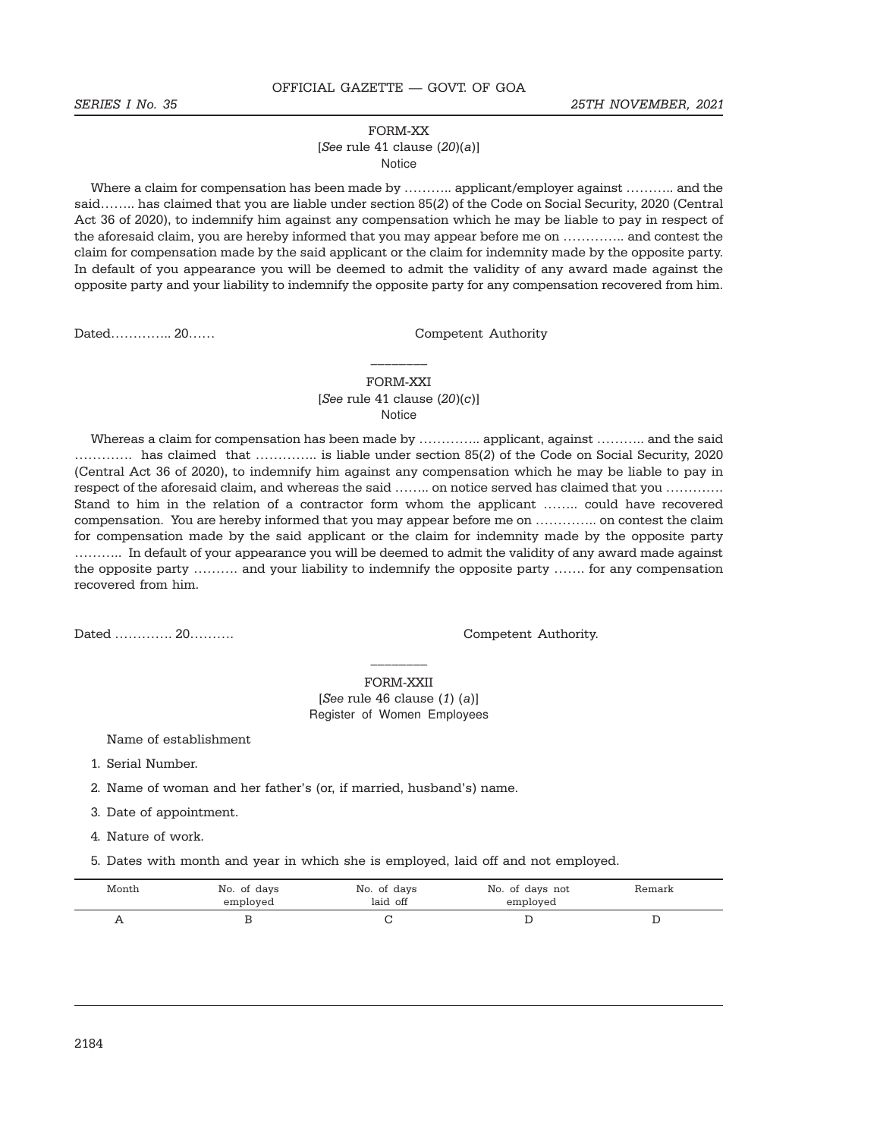#### FORM-XX

#### [See rule 41 clause  $(20)(a)$ ] Notice

Where a claim for compensation has been made by ……….. applicant/employer against ……….. and the said…….. has claimed that you are liable under section 85(2) of the Code on Social Security, 2020 (Central Act 36 of 2020), to indemnify him against any compensation which he may be liable to pay in respect of the aforesaid claim, you are hereby informed that you may appear before me on ………….. and contest the claim for compensation made by the said applicant or the claim for indemnity made by the opposite party. In default of you appearance you will be deemed to admit the validity of any award made against the opposite party and your liability to indemnify the opposite party for any compensation recovered from him.

Dated…………… 20…… Competent Authority

### FORM-XXI [See rule 41 clause  $(20)(c)$ ] Notice

 $\frac{1}{2}$ 

Whereas a claim for compensation has been made by ………….. applicant, against ……….. and the said …………. has claimed that ………….. is liable under section 85(2) of the Code on Social Security, 2020 (Central Act 36 of 2020), to indemnify him against any compensation which he may be liable to pay in respect of the aforesaid claim, and whereas the said …….. on notice served has claimed that you …………. Stand to him in the relation of a contractor form whom the applicant …….. could have recovered compensation. You are hereby informed that you may appear before me on ………….. on contest the claim for compensation made by the said applicant or the claim for indemnity made by the opposite party ……….. In default of your appearance you will be deemed to admit the validity of any award made against the opposite party ………. and your liability to indemnify the opposite party ……. for any compensation recovered from him.

Dated …………. 20………. Competent Authority.

\_\_\_\_\_\_\_\_ FORM-XXII

 $[See rule 46 clause (1) (a)]$ Register of Women Employees

Name of establishment

1. Serial Number.

2. Name of woman and her father's (or, if married, husband's) name.

3. Date of appointment.

4. Nature of work.

5. Dates with month and year in which she is employed, laid off and not employed.

| Month      | No. of days<br>employed | No. of days<br>laid off | No. of days not<br>employed | Remark |
|------------|-------------------------|-------------------------|-----------------------------|--------|
| <b>A</b> A |                         |                         |                             |        |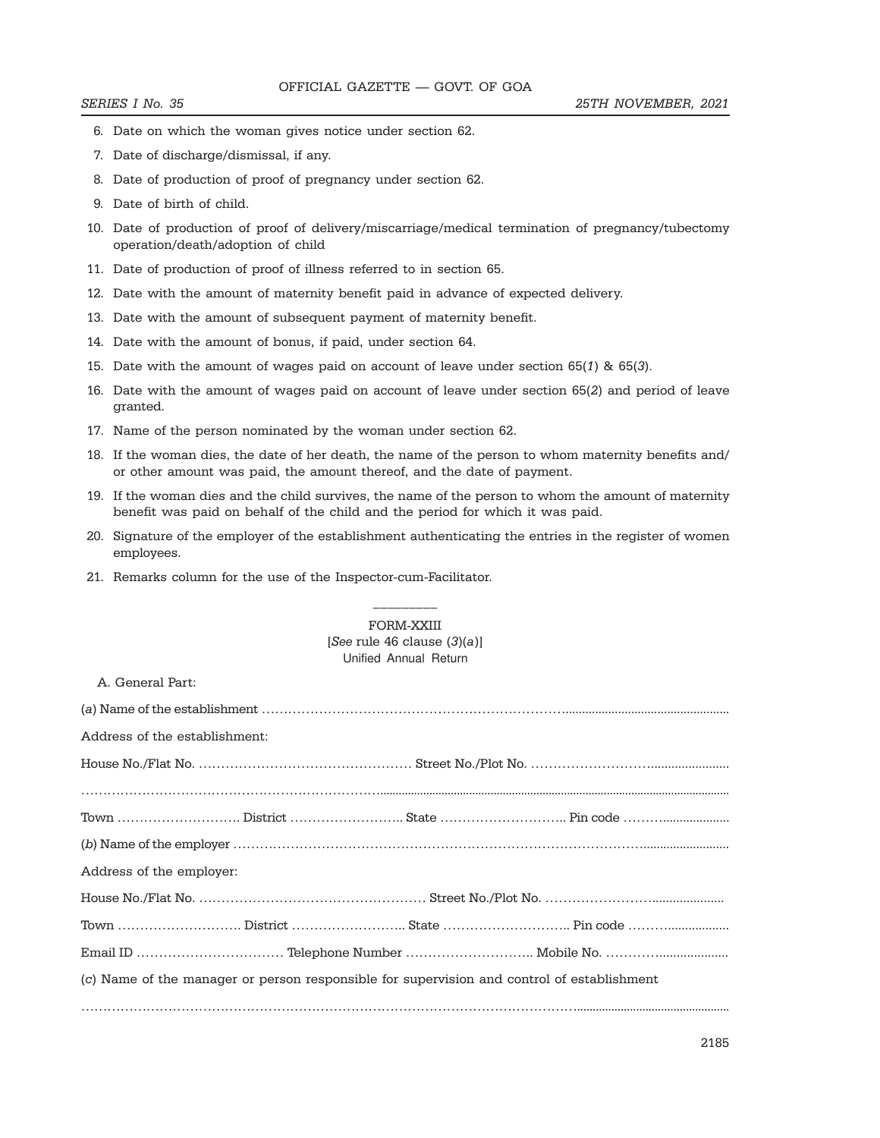- 6. Date on which the woman gives notice under section 62.
- 7. Date of discharge/dismissal, if any.
- 8. Date of production of proof of pregnancy under section 62.
- 9. Date of birth of child.
- 10. Date of production of proof of delivery/miscarriage/medical termination of pregnancy/tubectomy operation/death/adoption of child
- 11. Date of production of proof of illness referred to in section 65.
- 12. Date with the amount of maternity benefit paid in advance of expected delivery.
- 13. Date with the amount of subsequent payment of maternity benefit.
- 14. Date with the amount of bonus, if paid, under section 64.
- 15. Date with the amount of wages paid on account of leave under section 65(1) & 65(3).
- 16. Date with the amount of wages paid on account of leave under section 65(2) and period of leave granted.
- 17. Name of the person nominated by the woman under section 62.
- 18. If the woman dies, the date of her death, the name of the person to whom maternity benefits and/ or other amount was paid, the amount thereof, and the date of payment.
- 19. If the woman dies and the child survives, the name of the person to whom the amount of maternity benefit was paid on behalf of the child and the period for which it was paid.
- 20. Signature of the employer of the establishment authenticating the entries in the register of women employees.
- 21. Remarks column for the use of the Inspector-cum-Facilitator.

# FORM-XXIII [See rule 46 clause (3)(a)] Unified Annual Return

\_\_\_\_\_\_\_\_\_

A. General Part:

| Address of the establishment:                                                              |  |
|--------------------------------------------------------------------------------------------|--|
|                                                                                            |  |
|                                                                                            |  |
|                                                                                            |  |
|                                                                                            |  |
| Address of the employer:                                                                   |  |
|                                                                                            |  |
|                                                                                            |  |
|                                                                                            |  |
| (c) Name of the manager or person responsible for supervision and control of establishment |  |
|                                                                                            |  |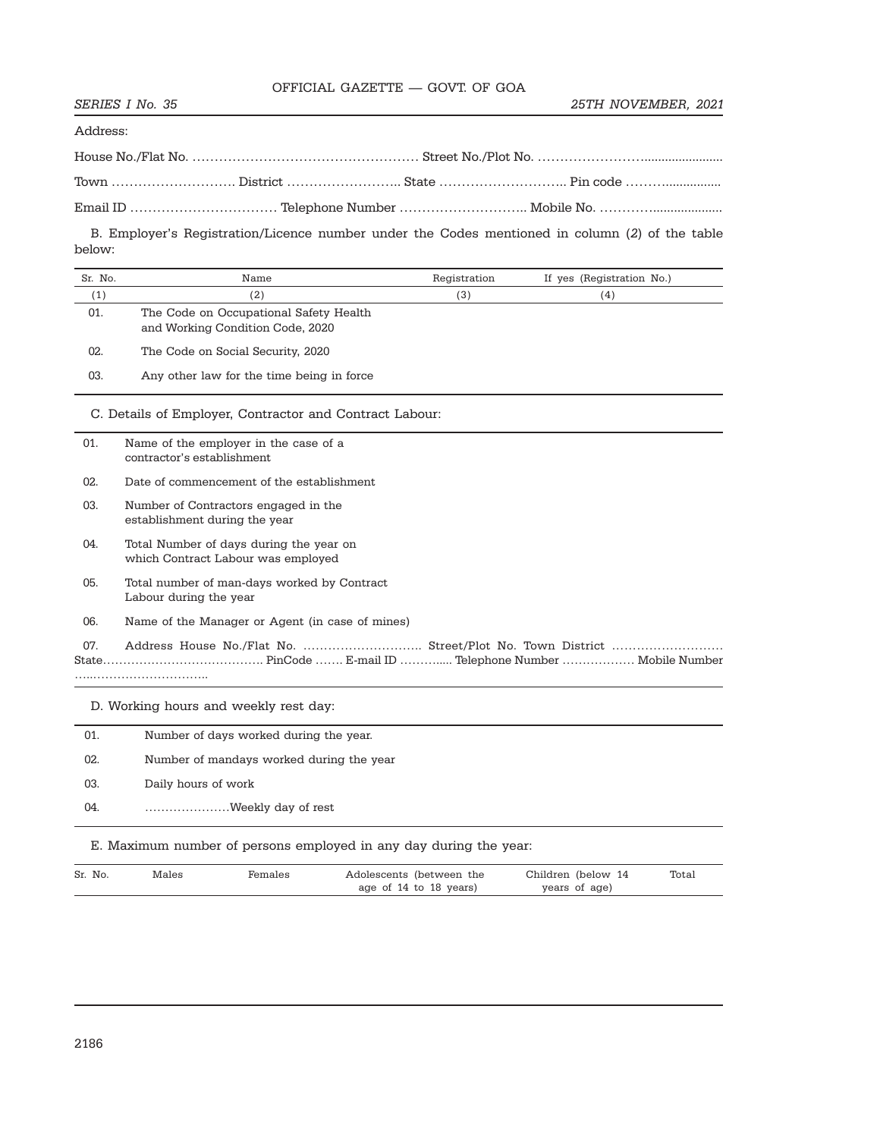Address:

|  | Town ………………………… District ………………………… State …………………………… Pin code ……………………… |
|--|--------------------------------------------------------------------------|
|  |                                                                          |

B. Employer's Registration/Licence number under the Codes mentioned in column (2) of the table below:

| Sr. No. | Name                                                                          | Registration | If yes (Registration No.) |  |  |  |
|---------|-------------------------------------------------------------------------------|--------------|---------------------------|--|--|--|
| (1)     | (2)                                                                           | (3)          | (4)                       |  |  |  |
| 01.     | The Code on Occupational Safety Health<br>and Working Condition Code, 2020    |              |                           |  |  |  |
| 02.     | The Code on Social Security, 2020                                             |              |                           |  |  |  |
| 03.     | Any other law for the time being in force                                     |              |                           |  |  |  |
|         | C. Details of Employer, Contractor and Contract Labour:                       |              |                           |  |  |  |
| 01.     | Name of the employer in the case of a<br>contractor's establishment           |              |                           |  |  |  |
| 02.     | Date of commencement of the establishment                                     |              |                           |  |  |  |
| 03.     | Number of Contractors engaged in the<br>establishment during the year         |              |                           |  |  |  |
| 04.     | Total Number of days during the year on<br>which Contract Labour was employed |              |                           |  |  |  |
| 05.     | Total number of man-days worked by Contract<br>Labour during the year         |              |                           |  |  |  |
| 06.     | Name of the Manager or Agent (in case of mines)                               |              |                           |  |  |  |
| 07.     | Address House No./Flat No.  Street/Plot No. Town District                     |              |                           |  |  |  |
|         | D. Working hours and weekly rest day:                                         |              |                           |  |  |  |
| 01.     | Number of days worked during the year.                                        |              |                           |  |  |  |
| 02.     | Number of mandays worked during the year                                      |              |                           |  |  |  |
| 03.     | Daily hours of work                                                           |              |                           |  |  |  |
| 04.     | Weekly day of rest                                                            |              |                           |  |  |  |

E. Maximum number of persons employed in any day during the year:

| Sr. No. | Males | Females | Adolescents (between the | Children (below 14 | Total |
|---------|-------|---------|--------------------------|--------------------|-------|
|         |       |         | age of 14 to 18 years)   | years of age)      |       |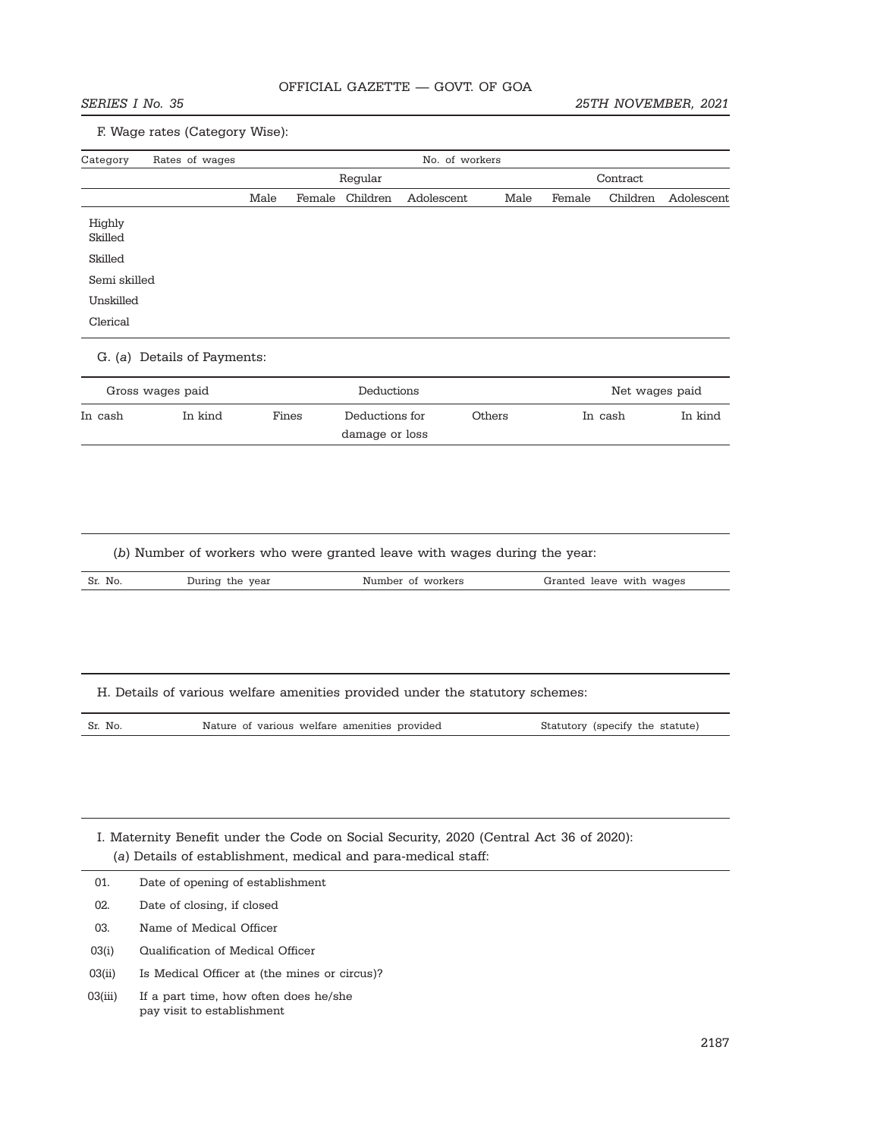# F. Wage rates (Category Wise):

| Category                  | Rates of wages                                                                              | No. of workers |  |                                              |                   |        |        |                                 |            |
|---------------------------|---------------------------------------------------------------------------------------------|----------------|--|----------------------------------------------|-------------------|--------|--------|---------------------------------|------------|
|                           |                                                                                             |                |  | Regular                                      |                   |        |        | Contract                        |            |
|                           |                                                                                             | Male           |  | Female Children                              | Adolescent        | Male   | Female | Children                        | Adolescent |
| Highly                    |                                                                                             |                |  |                                              |                   |        |        |                                 |            |
| Skilled                   |                                                                                             |                |  |                                              |                   |        |        |                                 |            |
| Skilled                   |                                                                                             |                |  |                                              |                   |        |        |                                 |            |
| Semi skilled<br>Unskilled |                                                                                             |                |  |                                              |                   |        |        |                                 |            |
| Clerical                  |                                                                                             |                |  |                                              |                   |        |        |                                 |            |
|                           | G. (a) Details of Payments:                                                                 |                |  |                                              |                   |        |        |                                 |            |
|                           | Gross wages paid                                                                            |                |  | Deductions                                   |                   |        |        | Net wages paid                  |            |
| In cash                   | In kind                                                                                     | Fines          |  | Deductions for<br>damage or loss             |                   | Others |        | In cash                         | In kind    |
| Sr. No.                   | (b) Number of workers who were granted leave with wages during the year:<br>During the year |                |  |                                              | Number of workers |        |        | Granted leave with wages        |            |
|                           | H. Details of various welfare amenities provided under the statutory schemes:               |                |  |                                              |                   |        |        |                                 |            |
| Sr. No.                   |                                                                                             |                |  | Nature of various welfare amenities provided |                   |        |        | Statutory (specify the statute) |            |
|                           | I. Maternity Benefit under the Code on Social Security, 2020 (Central Act 36 of 2020):      |                |  |                                              |                   |        |        |                                 |            |
|                           | (a) Details of establishment, medical and para-medical staff:                               |                |  |                                              |                   |        |        |                                 |            |
| 01.                       | Date of opening of establishment                                                            |                |  |                                              |                   |        |        |                                 |            |
| 02.                       | Date of closing, if closed                                                                  |                |  |                                              |                   |        |        |                                 |            |
| 03.                       | Name of Medical Officer                                                                     |                |  |                                              |                   |        |        |                                 |            |
| 03(i)                     | Qualification of Medical Officer                                                            |                |  |                                              |                   |        |        |                                 |            |

03(ii) Is Medical Officer at (the mines or circus)?

03(iii) If a part time, how often does he/she pay visit to establishment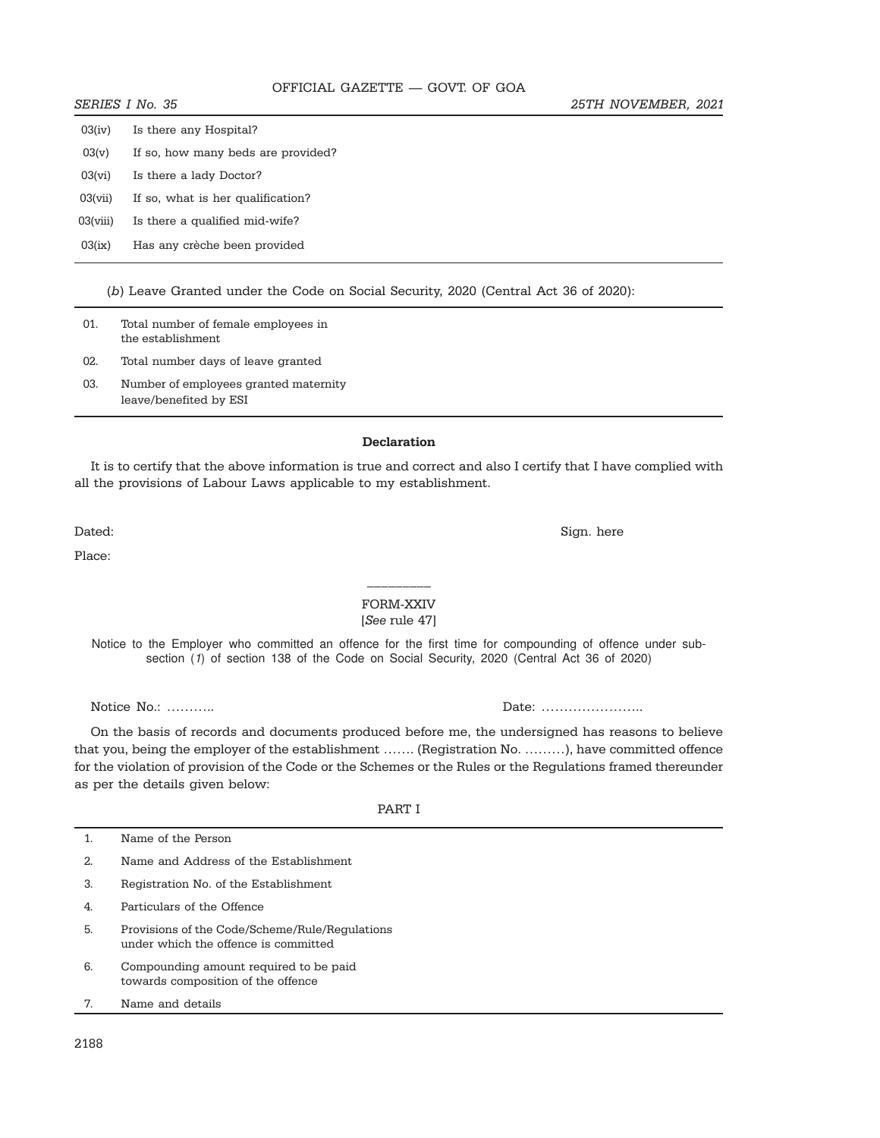- $03(v)$  If so, how many beds are provided?
- 03(vi) Is there a lady Doctor?
- 03(vii) If so, what is her qualification?
- 03(viii) Is there a qualified mid-wife?
- 03(ix) Has any crèche been provided

(b) Leave Granted under the Code on Social Security, 2020 (Central Act 36 of 2020):

| 01. | Total number of female employees in<br>the establishment        |
|-----|-----------------------------------------------------------------|
| 02. | Total number days of leave granted                              |
| 03. | Number of employees granted maternity<br>leave/benefited by ESI |

#### Declaration

It is to certify that the above information is true and correct and also I certify that I have complied with all the provisions of Labour Laws applicable to my establishment.

Dated: Sign. here

Place:

## FORM-XXIV [See rule 47]

\_\_\_\_\_\_\_\_\_

Notice to the Employer who committed an offence for the first time for compounding of offence under subsection (1) of section 138 of the Code on Social Security, 2020 (Central Act 36 of 2020)

Notice No.: ……….. Date: …………………..

On the basis of records and documents produced before me, the undersigned has reasons to believe that you, being the employer of the establishment ……. (Registration No. ………), have committed offence for the violation of provision of the Code or the Schemes or the Rules or the Regulations framed thereunder as per the details given below:

PART I

| 1. | Name of the Person                                                                     |
|----|----------------------------------------------------------------------------------------|
| 2. | Name and Address of the Establishment                                                  |
| 3. | Registration No. of the Establishment                                                  |
| 4. | Particulars of the Offence                                                             |
| 5. | Provisions of the Code/Scheme/Rule/Regulations<br>under which the offence is committed |
| 6. | Compounding amount required to be paid<br>towards composition of the offence           |
| 7. | Name and details                                                                       |
|    |                                                                                        |

2188